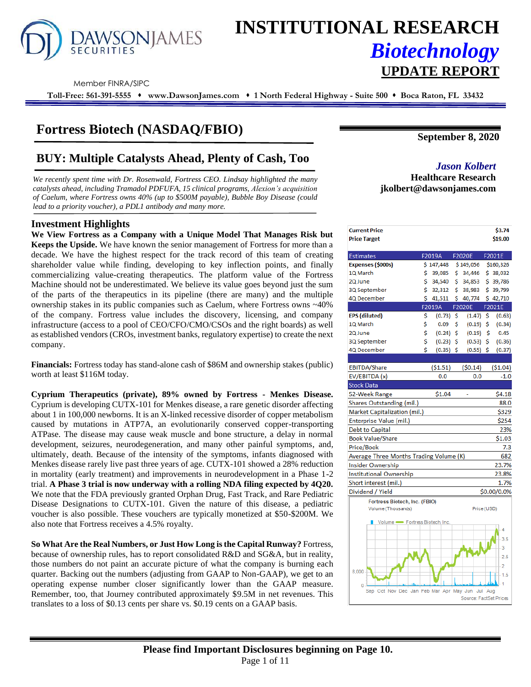

# **INSTITUTIONAL RESEARCH** *Biotechnology* **UPDATE REPORT**

Member FINRA/SIPC

**Toll-Free: 561-391-5555** ⬧ **www.DawsonJames.com** ⬧ **1 North Federal Highway - Suite 500** ⬧ **Boca Raton, FL 33432**

## **Fortress Biotech (NASDAQ/FBIO)**

## **BUY: Multiple Catalysts Ahead, Plenty of Cash, Too** *Jason Kolbert*

*We recently spent time with Dr. Rosenwald, Fortress CEO. Lindsay highlighted the many catalysts ahead, including Tramadol PDFUFA, 15 clinical programs, Alexion's acquisition of Caelum, where Fortress owns 40% (up to \$500M payable), Bubble Boy Disease (could lead to a priority voucher), a PDL1 antibody and many more.*

### **Investment Highlights**

**We View Fortress as a Company with a Unique Model That Manages Risk but Keeps the Upside.** We have known the senior management of Fortress for more than a decade. We have the highest respect for the track record of this team of creating shareholder value while finding, developing to key inflection points, and finally commercializing value-creating therapeutics. The platform value of the Fortress Machine should not be underestimated. We believe its value goes beyond just the sum of the parts of the therapeutics in its pipeline (there are many) and the multiple ownership stakes in its public companies such as Caelum, where Fortress owns ~40% of the company. Fortress value includes the discovery, licensing, and company infrastructure (access to a pool of CEO/CFO/CMO/CSOs and the right boards) as well as established vendors (CROs, investment banks, regulatory expertise) to create the next company.

**Financials:** Fortress today has stand-alone cash of \$86M and ownership stakes (public) worth at least \$116M today.

**Cyprium Therapeutics (private), 89% owned by Fortress - Menkes Disease.** Cyprium is developing CUTX-101 for Menkes disease, a rare genetic disorder affecting about 1 in 100,000 newborns. It is an X-linked recessive disorder of copper metabolism caused by mutations in ATP7A, an evolutionarily conserved copper-transporting ATPase. The disease may cause weak muscle and bone structure, a delay in normal development, seizures, neurodegeneration, and many other painful symptoms, and, ultimately, death. Because of the intensity of the symptoms, infants diagnosed with Menkes disease rarely live past three years of age. CUTX-101 showed a 28% reduction in mortality (early treatment) and improvements in neurodevelopment in a Phase 1-2 trial. **A Phase 3 trial is now underway with a rolling NDA filing expected by 4Q20.** We note that the FDA previously granted Orphan Drug, Fast Track, and Rare Pediatric Disease Designations to CUTX-101. Given the nature of this disease, a pediatric voucher is also possible. These vouchers are typically monetized at \$50-\$200M. We also note that Fortress receives a 4.5% royalty.

**So What Are the Real Numbers, or Just How Long is the Capital Runway?** Fortress, because of ownership rules, has to report consolidated R&D and SG&A, but in reality, those numbers do not paint an accurate picture of what the company is burning each quarter. Backing out the numbers (adjusting from GAAP to Non-GAAP), we get to an operating expense number closer significantly lower than the GAAP measure. Remember, too, that Journey contributed approximately \$9.5M in net revenues. This translates to a loss of \$0.13 cents per share vs. \$0.19 cents on a GAAP basis.

**September 8, 2020**

## **Healthcare Research jkolbert@dawsonjames.com**

|                              |                                         |                                                                                                          |                                                                                                                      |                                                                                                    | \$3.74                                                                                                                                                                                                   |
|------------------------------|-----------------------------------------|----------------------------------------------------------------------------------------------------------|----------------------------------------------------------------------------------------------------------------------|----------------------------------------------------------------------------------------------------|----------------------------------------------------------------------------------------------------------------------------------------------------------------------------------------------------------|
|                              |                                         |                                                                                                          |                                                                                                                      |                                                                                                    | \$19.00                                                                                                                                                                                                  |
|                              |                                         |                                                                                                          |                                                                                                                      |                                                                                                    |                                                                                                                                                                                                          |
|                              |                                         |                                                                                                          |                                                                                                                      |                                                                                                    |                                                                                                                                                                                                          |
|                              |                                         |                                                                                                          |                                                                                                                      |                                                                                                    | \$38,032                                                                                                                                                                                                 |
|                              |                                         |                                                                                                          |                                                                                                                      |                                                                                                    | \$39,786                                                                                                                                                                                                 |
|                              |                                         |                                                                                                          |                                                                                                                      |                                                                                                    | \$39,799                                                                                                                                                                                                 |
|                              |                                         |                                                                                                          |                                                                                                                      |                                                                                                    | \$42,710                                                                                                                                                                                                 |
|                              |                                         |                                                                                                          |                                                                                                                      |                                                                                                    | F2021E                                                                                                                                                                                                   |
|                              |                                         |                                                                                                          |                                                                                                                      |                                                                                                    | (0.63)                                                                                                                                                                                                   |
| Ś                            | 0.09                                    | \$                                                                                                       |                                                                                                                      |                                                                                                    | (0.34)                                                                                                                                                                                                   |
|                              |                                         |                                                                                                          |                                                                                                                      |                                                                                                    | 0.45                                                                                                                                                                                                     |
|                              |                                         |                                                                                                          |                                                                                                                      |                                                                                                    | (0.36)                                                                                                                                                                                                   |
| Ś                            |                                         |                                                                                                          |                                                                                                                      |                                                                                                    | (0.37)                                                                                                                                                                                                   |
|                              |                                         |                                                                                                          |                                                                                                                      |                                                                                                    |                                                                                                                                                                                                          |
|                              | (51.51)                                 |                                                                                                          |                                                                                                                      |                                                                                                    | ( \$1.04)                                                                                                                                                                                                |
|                              | 0.0                                     |                                                                                                          | 0.0                                                                                                                  |                                                                                                    | $-1.0$                                                                                                                                                                                                   |
|                              |                                         |                                                                                                          |                                                                                                                      |                                                                                                    |                                                                                                                                                                                                          |
|                              | \$1.04                                  |                                                                                                          |                                                                                                                      |                                                                                                    | \$4.18                                                                                                                                                                                                   |
|                              |                                         |                                                                                                          |                                                                                                                      |                                                                                                    | 88.0                                                                                                                                                                                                     |
| Market Capitalization (mil.) |                                         |                                                                                                          |                                                                                                                      |                                                                                                    | \$329                                                                                                                                                                                                    |
|                              |                                         |                                                                                                          |                                                                                                                      |                                                                                                    | \$254                                                                                                                                                                                                    |
|                              |                                         |                                                                                                          |                                                                                                                      |                                                                                                    | 23%                                                                                                                                                                                                      |
|                              |                                         |                                                                                                          |                                                                                                                      |                                                                                                    | \$1.03                                                                                                                                                                                                   |
|                              |                                         |                                                                                                          |                                                                                                                      |                                                                                                    | 7.3                                                                                                                                                                                                      |
|                              |                                         |                                                                                                          |                                                                                                                      |                                                                                                    | 682                                                                                                                                                                                                      |
|                              |                                         |                                                                                                          |                                                                                                                      |                                                                                                    | 23.7%                                                                                                                                                                                                    |
|                              |                                         |                                                                                                          |                                                                                                                      |                                                                                                    | 23.8%                                                                                                                                                                                                    |
|                              |                                         |                                                                                                          |                                                                                                                      |                                                                                                    | 1.7%                                                                                                                                                                                                     |
|                              |                                         |                                                                                                          |                                                                                                                      |                                                                                                    | \$0.00/0.0%                                                                                                                                                                                              |
|                              |                                         |                                                                                                          |                                                                                                                      |                                                                                                    |                                                                                                                                                                                                          |
|                              |                                         |                                                                                                          |                                                                                                                      |                                                                                                    |                                                                                                                                                                                                          |
|                              |                                         |                                                                                                          |                                                                                                                      |                                                                                                    |                                                                                                                                                                                                          |
|                              |                                         |                                                                                                          |                                                                                                                      |                                                                                                    | Δ                                                                                                                                                                                                        |
|                              |                                         |                                                                                                          |                                                                                                                      |                                                                                                    | 3.5                                                                                                                                                                                                      |
|                              |                                         |                                                                                                          |                                                                                                                      |                                                                                                    | 3                                                                                                                                                                                                        |
|                              |                                         |                                                                                                          |                                                                                                                      |                                                                                                    | 2.5                                                                                                                                                                                                      |
|                              |                                         |                                                                                                          |                                                                                                                      |                                                                                                    | $\overline{2}$                                                                                                                                                                                           |
|                              |                                         |                                                                                                          |                                                                                                                      |                                                                                                    | 1.5                                                                                                                                                                                                      |
|                              |                                         |                                                                                                          |                                                                                                                      |                                                                                                    |                                                                                                                                                                                                          |
|                              |                                         |                                                                                                          |                                                                                                                      | Aug                                                                                                |                                                                                                                                                                                                          |
|                              |                                         |                                                                                                          |                                                                                                                      |                                                                                                    |                                                                                                                                                                                                          |
|                              | \$<br>\$<br>\$.<br>\$<br>\$<br>\$<br>\$ | F2019A<br>39,085<br>41,511<br>F2019A<br>Fortress Biotech, Inc. (FBIO)<br>Volume - Fortress Biotech, Inc. | \$147,448<br>\$.<br>\$<br>34,540<br>\$<br>32,312<br>\$<br>(0.73)<br>-\$<br>$(0.24)$ \$<br>$(0.23)$ \$<br>$(0.35)$ \$ | 40,774<br>F2020E<br>Average Three Months Trading Volume (K)<br>Oct Nov Dec Jan Feb Mar Apr May Jun | F2020E F2021E<br>\$149,056 \$160,326<br>34,446<br>34,853<br>38,983<br>$(1.47)$ \$<br>$(0.19)$ \$<br>$(0.19)$ \$<br>$(0.53)$ \$<br>$(0.55)$ \$<br>(50.14)<br>Price (USD)<br>Jul<br>Source: FactSet Prices |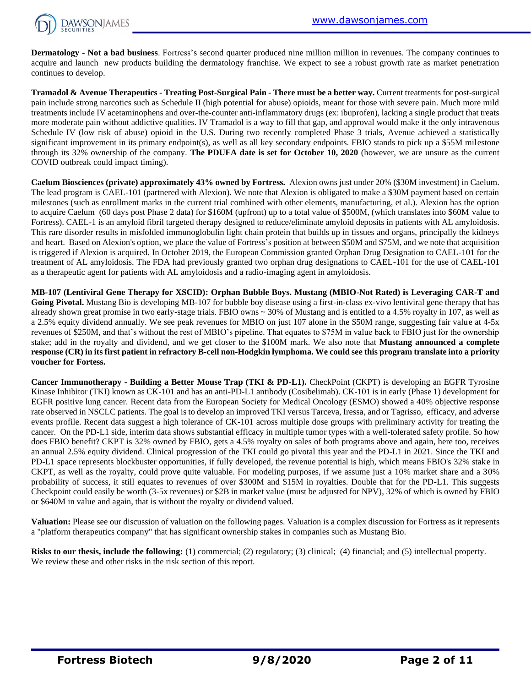

**Dermatology - Not a bad business**. Fortress's second quarter produced nine million million in revenues. The company continues to acquire and launch new products building the dermatology franchise. We expect to see a robust growth rate as market penetration continues to develop.

**Tramadol & Avenue Therapeutics - Treating Post-Surgical Pain - There must be a better way.** Current treatments for post-surgical pain include strong narcotics such as Schedule II (high potential for abuse) opioids, meant for those with severe pain. Much more mild treatments include IV acetaminophens and over-the-counter anti-inflammatory drugs (ex: ibuprofen), lacking a single product that treats more moderate pain without addictive qualities. IV Tramadol is a way to fill that gap, and approval would make it the only intravenous Schedule IV (low risk of abuse) opioid in the U.S. During two recently completed Phase 3 trials, Avenue achieved a statistically significant improvement in its primary endpoint(s), as well as all key secondary endpoints. FBIO stands to pick up a \$55M milestone through its 32% ownership of the company. **The PDUFA date is set for October 10, 2020** (however, we are unsure as the current COVID outbreak could impact timing).

**Caelum Biosciences (private) approximately 43% owned by Fortress.** Alexion owns just under 20% (\$30M investment) in Caelum. The lead program is CAEL-101 (partnered with Alexion). We note that Alexion is obligated to make a \$30M payment based on certain milestones (such as enrollment marks in the current trial combined with other elements, manufacturing, et al.). Alexion has the option to acquire Caelum (60 days post Phase 2 data) for \$160M (upfront) up to a total value of \$500M, (which translates into \$60M value to Fortress). CAEL-1 is an amyloid fibril targeted therapy designed to reduce/eliminate amyloid deposits in patients with AL amyloidosis. This rare disorder results in misfolded immunoglobulin light chain protein that builds up in tissues and organs, principally the kidneys and heart. Based on Alexion's option, we place the value of Fortress's position at between \$50M and \$75M, and we note that acquisition is triggered if Alexion is acquired. In October 2019, the European Commission granted Orphan Drug Designation to CAEL-101 for the treatment of AL amyloidosis. The FDA had previously granted two orphan drug designations to CAEL-101 for the use of CAEL-101 as a therapeutic agent for patients with AL amyloidosis and a radio-imaging agent in amyloidosis.

**MB-107 (Lentiviral Gene Therapy for XSCID): Orphan Bubble Boys. Mustang (MBIO-Not Rated) is Leveraging CAR-T and Going Pivotal.** Mustang Bio is developing MB-107 for bubble boy disease using a first-in-class ex-vivo lentiviral gene therapy that has already shown great promise in two early-stage trials. FBIO owns ~ 30% of Mustang and is entitled to a 4.5% royalty in 107, as well as a 2.5% equity dividend annually. We see peak revenues for MBIO on just 107 alone in the \$50M range, suggesting fair value at 4-5x revenues of \$250M, and that's without the rest of MBIO's pipeline. That equates to \$75M in value back to FBIO just for the ownership stake; add in the royalty and dividend, and we get closer to the \$100M mark. We also note that **Mustang announced a complete response (CR) in its first patient in refractory B-cell non-Hodgkin lymphoma. We could see this program translate into a priority voucher for Fortess.**

**Cancer Immunotherapy - Building a Better Mouse Trap (TKI & PD-L1).** CheckPoint (CKPT) is developing an EGFR Tyrosine Kinase Inhibitor (TKI) known as CK-101 and has an anti-PD-L1 antibody (Cosibelimab). CK-101 is in early (Phase 1) development for EGFR positive lung cancer. Recent data from the European Society for Medical Oncology (ESMO) showed a 40% objective response rate observed in NSCLC patients. The goal is to develop an improved TKI versus Tarceva, Iressa, and or Tagrisso, efficacy, and adverse events profile. Recent data suggest a high tolerance of CK-101 across multiple dose groups with preliminary activity for treating the cancer. On the PD-L1 side, interim data shows substantial efficacy in multiple tumor types with a well-tolerated safety profile. So how does FBIO benefit? CKPT is 32% owned by FBIO, gets a 4.5% royalty on sales of both programs above and again, here too, receives an annual 2.5% equity dividend. Clinical progression of the TKI could go pivotal this year and the PD-L1 in 2021. Since the TKI and PD-L1 space represents blockbuster opportunities, if fully developed, the revenue potential is high, which means FBIO's 32% stake in CKPT, as well as the royalty, could prove quite valuable. For modeling purposes, if we assume just a 10% market share and a 30% probability of success, it still equates to revenues of over \$300M and \$15M in royalties. Double that for the PD-L1. This suggests Checkpoint could easily be worth (3-5x revenues) or \$2B in market value (must be adjusted for NPV), 32% of which is owned by FBIO or \$640M in value and again, that is without the royalty or dividend valued.

**Valuation:** Please see our discussion of valuation on the following pages. Valuation is a complex discussion for Fortress as it represents a "platform therapeutics company" that has significant ownership stakes in companies such as Mustang Bio.

**Risks to our thesis, include the following:** (1) commercial; (2) regulatory; (3) clinical; (4) financial; and (5) intellectual property. We review these and other risks in the risk section of this report.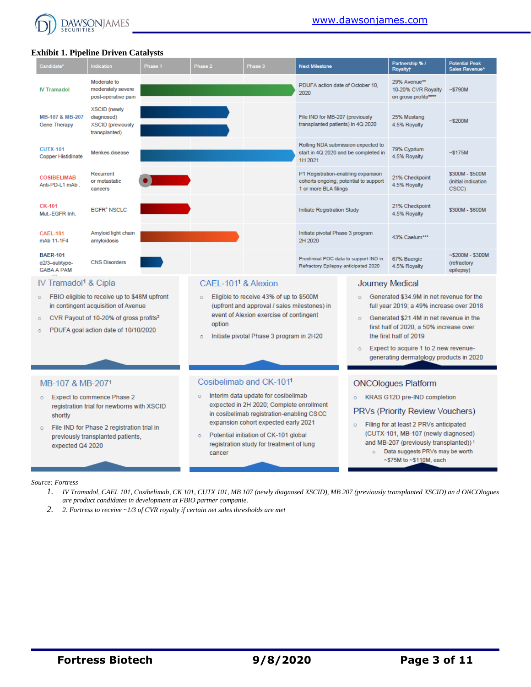

## **Exhibit 1. Pipeline Driven Catalysts**

| Candidate*                                            | Indication                                                                                                                                                                        | Phase 1 | Phase 2                         | Phase 3                                                                                                                            | <b>Next Milestone</b>                                                                                |                                                                            | Partnership % /<br><b>Royalty</b> †                                                                                                                                        | <b>Potential Peak</b><br>Sales Revenue <sup>^</sup> |
|-------------------------------------------------------|-----------------------------------------------------------------------------------------------------------------------------------------------------------------------------------|---------|---------------------------------|------------------------------------------------------------------------------------------------------------------------------------|------------------------------------------------------------------------------------------------------|----------------------------------------------------------------------------|----------------------------------------------------------------------------------------------------------------------------------------------------------------------------|-----------------------------------------------------|
| <b>IV Tramadol</b>                                    | Moderate to<br>moderately severe<br>post-operative pain                                                                                                                           |         |                                 |                                                                                                                                    | PDUFA action date of October 10.<br>2020                                                             |                                                                            | 29% Avenue**<br>10-20% CVR Royalty<br>on gross profits****                                                                                                                 | ~5790M                                              |
| MB-107 & MB-207<br><b>Gene Therapy</b>                | <b>XSCID</b> (newly<br>diagnosed)<br><b>XSCID</b> (previously<br>transplanted)                                                                                                    |         |                                 |                                                                                                                                    | File IND for MB-207 (previously<br>transplanted patients) in 4Q 2020                                 |                                                                            | 25% Mustang<br>4.5% Royalty                                                                                                                                                | ~5200M                                              |
| <b>CUTX-101</b><br><b>Copper Histidinate</b>          | Menkes disease                                                                                                                                                                    |         |                                 |                                                                                                                                    | 1H 2021                                                                                              | Rolling NDA submission expected to<br>start in 4Q 2020 and be completed in | 79% Cyprium<br>4.5% Royalty                                                                                                                                                | ~5175M                                              |
| <b>COSIBELIMAB</b><br>Anti-PD-L1 mAb.                 | Recurrent<br>or metastatic<br>cancers                                                                                                                                             |         |                                 |                                                                                                                                    | P1 Registration-enabling expansion<br>cohorts ongoing; potential to support<br>1 or more BLA filings |                                                                            | 21% Checkpoint<br>4.5% Royalty                                                                                                                                             | \$300M - \$500M<br>(initial indication)<br>CSCC)    |
| <b>CK-101</b><br>Mut.-EGFR Inh.                       | <b>EGFR' NSCLC</b>                                                                                                                                                                |         |                                 |                                                                                                                                    | Initiate Registration Study                                                                          |                                                                            | 21% Checkpoint<br>4.5% Royalty                                                                                                                                             | \$300M - \$600M                                     |
| <b>CAEL-101</b><br>mAb 11-1F4                         | Amyloid light chain<br>amyloidosis                                                                                                                                                |         |                                 |                                                                                                                                    | Initiate pivotal Phase 3 program<br>2H 2020                                                          |                                                                            | 43% Caelum***                                                                                                                                                              |                                                     |
| <b>BAER-101</b><br>a2/3-subtype-<br><b>GABA A PAM</b> | <b>CNS Disorders</b>                                                                                                                                                              |         |                                 |                                                                                                                                    | Preclinical POC data to support IND in<br>Refractory Epilepsy anticipated 2020                       |                                                                            | 67% Baergic<br>4.5% Royalty                                                                                                                                                | $~5200M - $300M$<br>(refractory<br>epilepsy)        |
| IV Tramadol <sup>1</sup> & Cipla                      |                                                                                                                                                                                   |         | CAEL-101 <sup>1</sup> & Alexion |                                                                                                                                    |                                                                                                      |                                                                            | <b>Journey Medical</b>                                                                                                                                                     |                                                     |
| $\circ$<br>$\circ$<br>$\circ$                         | FBIO eligible to receive up to \$48M upfront<br>in contingent acquisition of Avenue<br>CVR Payout of 10-20% of gross profits <sup>2</sup><br>PDUFA goal action date of 10/10/2020 |         | Ō.<br>option                    | Eligible to receive 43% of up to \$500M<br>(upfront and approval / sales milestones) in<br>event of Alexion exercise of contingent |                                                                                                      | Ō.<br>n.                                                                   | Generated \$34.9M in net revenue for the<br>full year 2019; a 49% increase over 2018<br>Generated \$21.4M in net revenue in the<br>first half of 2020, a 50% increase over |                                                     |
|                                                       |                                                                                                                                                                                   |         | $\circ$                         | Initiate pivotal Phase 3 program in 2H20                                                                                           |                                                                                                      | ö                                                                          | the first half of 2019<br>Expect to acquire 1 to 2 new revenue-<br>generating dermatology products in 2020                                                                 |                                                     |
| MB-107 & MB-2071                                      |                                                                                                                                                                                   |         |                                 | Cosibelimab and CK-101 <sup>1</sup>                                                                                                |                                                                                                      |                                                                            | <b>ONCOlogues Platform</b>                                                                                                                                                 |                                                     |
| $\circ$                                               | <b>Expect to commence Phase 2</b>                                                                                                                                                 |         | $\circ$                         | Interim data update for cosibelimab                                                                                                |                                                                                                      | $\circ$                                                                    | KRAS G12D pre-IND completion                                                                                                                                               |                                                     |
| shortly                                               | registration trial for newborns with XSCID                                                                                                                                        |         |                                 | expected in 2H 2020; Complete enrollment<br>in cosibelimab registration-enabling CSCC                                              |                                                                                                      |                                                                            | PRVs (Priority Review Vouchers)                                                                                                                                            |                                                     |
| $\circ$                                               | File IND for Phase 2 registration trial in                                                                                                                                        |         |                                 | expansion cohort expected early 2021                                                                                               |                                                                                                      | $\circ$                                                                    | Filing for at least 2 PRVs anticipated                                                                                                                                     |                                                     |
| expected Q4 2020                                      | previously transplanted patients,                                                                                                                                                 |         | $\circ$<br>cancer               | Potential initiation of CK-101 global<br>registration study for treatment of lung                                                  |                                                                                                      | $\circ$                                                                    | (CUTX-101, MB-107 (newly diagnosed)<br>and MB-207 (previously transplanted)) <sup>1</sup><br>Data suggests PRVs may be worth<br>$\sim$ \$75M to $\sim$ \$110M, each        |                                                     |

#### *Source: Fortress*

- *1. IV Tramadol, CAEL 101, Cosibelimab, CK 101, CUTX 101, MB 107 (newly diagnosed XSCID), MB 207 (previously transplanted XSCID) an d ONCOlogues are product candidates in development at FBIO partner companie.*
- *2. 2. Fortress to receive ~1/3 of CVR royalty if certain net sales thresholds are met*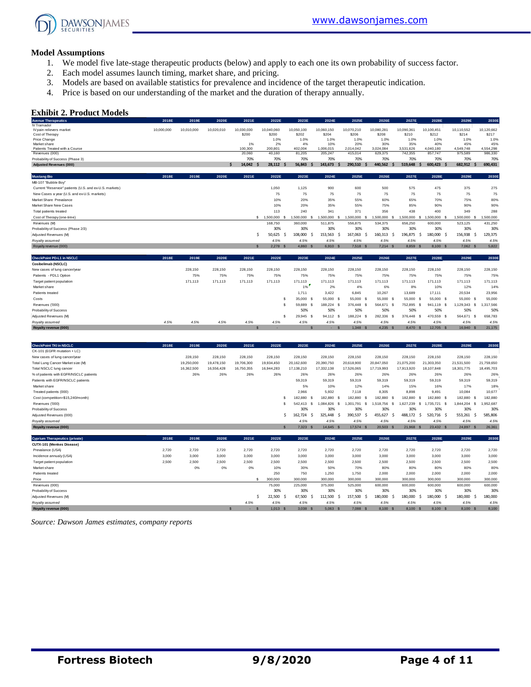

#### **Model Assumptions**

- 1. We model five late-stage therapeutic products (below) and apply to each one its own probability of success factor.
- 2. Each model assumes launch timing, market share, and pricing.
- 3. Models are based on available statistics for prevalence and incidence of the target therapeutic indication.
- 4. Price is based on our understanding of the market and the duration of therapy annually.

#### **Exhibit 2. Product Models**

| <b>Exhibit 2. Product Models</b><br><b>Avenue Therapeutics</b>     | 2018E      | 2019E      | 2020E      | 2021E          | 2022E                | 2023E             | 2024E                | 2025E                                 | 2026E                   | 2027E                | 2028E                                 | 2029E            | 2030E                |
|--------------------------------------------------------------------|------------|------------|------------|----------------|----------------------|-------------------|----------------------|---------------------------------------|-------------------------|----------------------|---------------------------------------|------------------|----------------------|
| IV Tramadol<br>IV pain relievers market                            | 10,000,000 | 10,010,000 | 10,020,010 | 10,030,030     | 10,040,060           | 10,050,100        | 10,060,150           | 10,070,210                            | 10,080,281              | 10,090,361           | 10,100,451                            | 10,110,552       | 10,120,662           |
| Cost of Therapy                                                    |            |            |            | \$200          | \$200                | \$202             | \$204                | \$206                                 | \$208                   | \$210                | \$212                                 | \$214            | \$217                |
| Price Change                                                       |            |            |            |                | 1.0%                 | 1.0%              | 1.0%                 | 1.0%                                  | 1.0%                    | 1.0%                 | 1.0%                                  | 1.0%             | 1.0%                 |
| Market share                                                       |            |            |            | 1%<br>100,300  | 2%<br>200,801        | 4%                | 10%                  | 20%<br>2,014,042                      | 30%                     | 35%                  | 40%                                   | 45%<br>4,549,748 | 45%                  |
| Patients Treated with a Course<br>Revenues (000)                   |            |            |            | 20,060         | 40,160               | 402,004<br>81,205 | 1,006,015<br>205,247 | 415,014                               | 3,024,084<br>629,375    | 3,531,626<br>742,355 | 4,040,180<br>857,747                  | 975,589          | 4,554,298<br>986,330 |
| Probability of Success (Phase 3)                                   |            |            |            | 70%            | 70%                  | 70%               | 70%                  | 70%                                   | 70%                     | 70%                  | 70%                                   | 70%              | 70%                  |
| <b>Adjusted Revenues (000)</b>                                     |            |            |            | 14,042 \$<br>¢ | 28,112<br>.s         | 56,843            | 143,673<br>-S        | 290,510<br>-\$<br>-\$                 | 440,562                 | 519,648<br>.S        | 600,423<br>\$<br>-S                   | 682,912<br>.s    | 690,431              |
| <b>Mustang Bio</b>                                                 | 2018E      | 2019E      | 2020E      | 2021E          | 2022E                | 2023E             | 2024E                | 2025E                                 | 2026E                   | 2027E                | 2028E                                 | 2029E            | 2030E                |
| MB-107 "Bubble Boy"                                                |            |            |            |                |                      |                   |                      |                                       |                         |                      |                                       |                  |                      |
| Current "Reservoir" patients (U.S. and ex-U.S. markets)            |            |            |            |                | 1,050                | 1,125             | 900                  | 600                                   | 500                     | 575                  | 475                                   | 375              | 275                  |
| New Cases a year (U.S. and ex-U.S. markets)                        |            |            |            |                | 75                   | 75                | 75                   | 75                                    | 75                      | 75                   | 75                                    | 75               | 75                   |
| Market Share Prevalance                                            |            |            |            |                | 10%                  | 20%               | 35%                  | 55%                                   | 60%                     | 65%                  | 70%                                   | 75%              | 80%                  |
| Market Share New Cases                                             |            |            |            |                | 10%                  | 20%               | 35%                  | 55%                                   | 75%                     | 85%                  | 90%                                   | 90%              | 90%                  |
| Total patients treated                                             |            |            |            |                | 113                  | 240               | 341                  | 371                                   | 356                     | 438                  | 400                                   | 349              | 288                  |
| Cost of Therapy (one-time)                                         |            |            |            |                | \$ 1,500,000<br>- \$ | 1,500,000         | 1,500,000<br>£.      | 1,500,000<br>s<br>-S                  | 1,500,000<br>-S         | 1,500,000            | \$<br>1,500,000<br>$\mathbf{\hat{s}}$ | 1,500,000<br>s   | 1,500,000            |
| Revenues (M)                                                       |            |            |            |                | 168,750              | 360,000           | 511,875              | 556,875                               | 534,375                 | 656,250              | 600,000                               | 523,125          | 431,250              |
| Probability of Success (Phase 2/3)                                 |            |            |            |                | 30%                  | 30%               | 30%                  | 30%                                   | 30%                     | 30%                  | 30%                                   | 30%              | 30%                  |
| Adjusted Revenues (M)                                              |            |            |            |                | Ŝ.<br>50,625<br>S.   | 108,000           | 153,563<br>-\$       | 167,063<br>-\$<br>-\$                 | 160,313                 | 196,875<br>- S       | 180,000<br>-\$<br>-\$                 | 156,938<br>\$    | 129,375              |
| Royalty assumed                                                    |            |            |            |                | 4.5%                 | 4.5%              | 4.5%                 | 4.5%                                  | 4.5%                    | 4.5%                 | 4.5%                                  | 4.5%             | 4.5%                 |
| Royalty revenue (000)                                              |            |            |            |                | 2,278                | 4,860             | 6,910                | 7,518<br><sub>S</sub><br>$\mathbf{s}$ | 7,214<br>$\mathcal{S}$  | 8,859                | 8,100<br><b>S</b>                     | 7,062 \$         | 5,822                |
| CheckPoint PD-L1 in NSCLC                                          | 2018E      | 2019E      | 2020E      | 2021E          | 2022E                | 2023E             | 2024E                | 2025E                                 | 2026E                   | 2027E                | 2028E                                 | 2029E            | 2030E                |
| Cosibelimab (NSCLC)                                                |            |            |            |                |                      |                   |                      |                                       |                         |                      |                                       |                  |                      |
| New cases of lung cancer/year                                      |            | 228,150    | 228,150    | 228,150        | 228,150              | 228,150           | 228,150              | 228,150                               | 228,150                 | 228,150              | 228,150                               | 228,150          | 228,150              |
| Patients - PDL1 Option                                             |            | 75%        | 75%        | 75%            | 75%                  | 75%               | 75%                  | 75%                                   | 75%                     | 75%                  | 75%                                   | 75%              | 75%                  |
| Target patient population                                          |            | 171,113    | 171,113    | 171,113        | 171,113              | 171,113           | 171,113              | 171,113                               | 171,113                 | 171,113              | 171,113                               | 171,113          | 171,113              |
| Market share                                                       |            |            |            |                |                      | 1%                | 2%                   | 4%                                    | 6%                      | 8%                   | 10%                                   | 12%              | 14%                  |
| Patients treated                                                   |            |            |            |                |                      | 1,711             | 3,422                | 6,845                                 | 10,267                  | 13,689               | 17,111                                | 20,534           | 23,956               |
| Costs                                                              |            |            |            |                | s                    | 35,000 \$         | 55,000               | -S<br>55,000<br>-S                    | 55,000<br>$\mathbf s$   | 55,000               | - \$<br>55,000 \$                     | 55,000 \$        | 55,000               |
| Revenues ('000)                                                    |            |            |            |                | s                    | 59,889            | \$<br>188,224        | s<br>376,448<br>-S                    | 564,671<br>$\mathbf s$  | 752,895              | -S<br>941,119<br>-S                   | 1,129,343<br>s   | 1,317,566            |
| Probability of Success                                             |            |            |            |                |                      | 50%               | 50%                  | 50%                                   | 50%                     | 50%                  | 50%                                   | 50%              | 50%                  |
| Adjusted Revenues (M)                                              |            |            |            |                | \$                   | 29,945            | 94,112<br>- \$       | 188,224<br>-S<br>s                    | 282,336<br>- \$         | 376,448              | 470,559<br>- \$<br>-S                 | 564,671<br>- S   | 658,783              |
| Royalty assumed                                                    | 4.5%       | 4.5%       | 4.5%       | 4.5%           | 4.5%                 | 4.5%              | 4.5%                 | 4.5%                                  | 4.5%                    | 4.5%                 | 4.5%                                  | 4.5%             | 4.5%                 |
| Royalty revenue (000)                                              |            |            |            |                |                      |                   | ٠                    | $1,348$ \$<br>$\mathbf{s}$            | 4,235 \$                | 8,470 \$             | 12,705 \$                             | 16,940 \$        | 21,175               |
|                                                                    |            |            |            |                |                      |                   |                      |                                       |                         |                      |                                       |                  |                      |
| <b>CheckPoint TKI in NSCLC</b>                                     | 2018E      | 2019E      | 2020E      | 2021E          | 2022E                | 2023E             | 2024E                | 2025E                                 | 2026E                   | 2027E                | 2028E                                 | 2029E            | 2030E                |
| CK-101 (EGFR mutation + LC)                                        |            |            |            |                |                      |                   |                      |                                       |                         |                      |                                       |                  |                      |
| New cases of lung cancer/year                                      |            | 228,150    | 228,150    | 228,150        | 228,150              | 228,150           | 228,150              | 228,150                               | 228,150                 | 228,150              | 228,150                               | 228,150          | 228,150              |
| Total Lung Cancer Market size (M)                                  |            | 19,250,000 | 19,478,150 | 19,706,300     | 19,934,450           | 20,162,600        | 20,390,750           | 20,618,900                            | 20,847,050              | 21,075,200           | 21,303,350                            | 21,531,500       | 21,759,650           |
| Total NSCLC lung cancer                                            |            | 16,362,500 | 16,556,428 | 16,750,355     | 16,944,283           | 17,138,210        | 17,332,138           | 17,526,065                            | 17,719,993              | 17,913,920           | 18,107,848                            | 18,301,775       | 18,495,703           |
| % of patients with EGFR/NSCLC patients                             |            | 26%        | 26%        | 26%            | 26%                  | 26%               | 26%                  | 26%                                   | 26%                     | 26%                  | 26%                                   | 26%              | 26%                  |
| Patients with EGFR/NSCLC patients                                  |            |            |            |                |                      | 59,319            | 59,319               | 59,319                                | 59,319                  | 59,319               | 59,319                                | 59,319           | 59,319               |
| Market share                                                       |            |            |            |                |                      | 5%                | 10%                  | 12%                                   | 14%                     | 15%                  | 16%                                   | 17%              | 18%                  |
| Treated patients (000)                                             |            |            |            |                |                      | 2,966             | 5,932                | 7,118                                 | 8,305                   | 8,898                | 9,491                                 | 10,084           | 10,677               |
| Cost (competition=\$15,240/month)                                  |            |            |            |                | \$                   | 182,880           | 182,880<br>-S        | 182,880<br>-S<br>-S                   | 182,880<br>-\$          | 182,880              | 182,880<br>-\$<br>-S                  | 182,880<br>-S    | 182,880              |
| Revenues ('000)                                                    |            |            |            |                | s                    | 542,413           | \$<br>1,084,826      | s<br>1,301,791<br>s                   | 1,518,756               | -S<br>1,627,239      | S.<br>1,735,721<br>- \$               | 1,844,204 \$     | 1,952,687            |
| Probability of Success                                             |            |            |            |                |                      | 30%               | 30%                  | 30%                                   | 30%                     | 30%                  | 30%                                   | 30%              | 30%                  |
| Adjusted Revenues (000)                                            |            |            |            |                | Š.                   | 162,724           | -\$<br>325,448       | 390,537<br>-\$<br>-\$                 | 455,627                 | 488,172<br>-\$       | 520,716<br>-Ś<br>- \$                 | 553,261<br>\$    | 585,806              |
| Royalty assumed                                                    |            |            |            |                |                      | 4.5%              | 4.5%                 | 4.5%                                  | 4.5%                    | 4.5%                 | 4.5%                                  | 4.5%             | 4.5%                 |
| Royalty revenue (000)                                              |            |            |            |                | $\mathbf{\hat{s}}$   | $7,323$ \$        | 14,645 \$            | 17,574                                | 20,503<br>$\mathcal{S}$ | 21,968 \$            | 23,432 \$                             | 24,897 \$        | 26,361               |
| <b>Cyprium Therapeutics (private)</b><br>CUTX-101 (Menkes Disease) | 2018E      | 2019E      | 2020E      | 2021E          | 2022E                | 2023E             | 2024E                | 2025E                                 | 2026E                   | 2027E                | 2028E                                 | 2029E            | 2030E                |

| noyany assumou                        |       |       |       |       |            | 7.070        | T.070    | 7.070                 | 7.070         | 7.070     | 7.070      | 7.070     | 7.070   |
|---------------------------------------|-------|-------|-------|-------|------------|--------------|----------|-----------------------|---------------|-----------|------------|-----------|---------|
| Royalty revenue (000)                 |       |       |       |       |            | 7,323<br>- S | 14,645 S | 17.574                | 20,503<br>- 3 | 21,968 \$ | 23,432 \$  | 24,897 \$ | 26,361  |
|                                       |       |       |       |       |            |              |          |                       |               |           |            |           |         |
| <b>Cyprium Therapeutics (private)</b> | 2018E | 2019E | 2020E | 2021E | 2022E      | 2023E        | 2024E    | 2025E                 | 2026E         | 2027E     | 2028E      | 2029E     | 2030E   |
| CUTX-101 (Menkes Disease)             |       |       |       |       |            |              |          |                       |               |           |            |           |         |
| Prevalance (USA)                      | 2,720 | 2.720 | 2.720 | 2,720 | 2.720      | 2.720        | 2,720    | 2.720                 | 2.720         | 2.720     | 2,720      | 2.720     | 2.720   |
| Incidence annualy (USA)               | 3.000 | 3.000 | 3,000 | 3,000 | 3,000      | 3,000        | 3,000    | 3.000                 | 3,000         | 3,000     | 3,000      | 3,000     | 3,000   |
| Target patient population             | 2,500 | 2,500 | 2,500 | 2,500 | 2,500      | 2.500        | 2,500    | 2,500                 | 2,500         | 2,500     | 2,500      | 2,500     | 2,500   |
| Market share                          |       | 0%    | 0%    | 0%    | 10%        | 30%          | 50%      | 70%                   | 80%           | 80%       | 80%        | 80%       | 80%     |
| Patients treated                      |       |       |       |       | 250        | 750          | 1.250    | 1.750                 | 2,000         | 2,000     | 2,000      | 2.000     | 2,000   |
| Price                                 |       |       |       |       | 300,000    | 300,000      | 300,000  | 300,000               | 300,000       | 300,000   | 300,000    | 300,000   | 300,000 |
| Revenues (000)                        |       |       |       |       | 75,000     | 225,000      | 375,000  | 525,000               | 600,000       | 600,000   | 600,000    | 600,000   | 600,000 |
| Probability of Success                |       |       |       |       | 30%        | 30%          | 30%      | 30%                   | 30%           | 30%       | 30%        | 30%       | 30%     |
| Adjusted Revenues (M)                 |       |       |       |       | 22,500     | 67.500       | 112.500  | 157.500               | 180.000       | 180,000   | 180,000 \$ | 180.000   | 180,000 |
| Royalty assumed                       |       |       |       | 4.5%  | 4.5%       | 4.5%         | 4.5%     | 4.5%                  | 4.5%          | 4.5%      | 4.5%       | 4.5%      | 4.5%    |
| Royalty revenue (000)                 |       |       |       | . .   | $1,013$ \$ | 3.038 S      | 5.063 S  | 7.088<br>$\mathbf{s}$ | 8.100 \$      | 8.100 \$  | 8.100 \$   | 8.100 S   | 8,100   |

*Source: Dawson James estimates, company reports*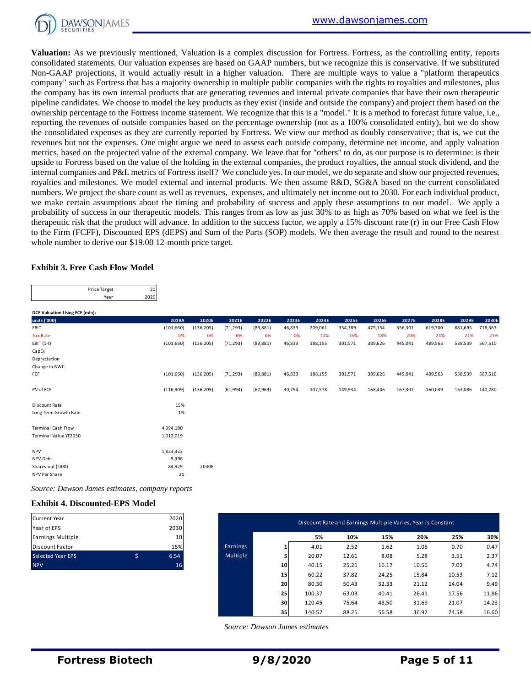

**Valuation:** As we previously mentioned, Valuation is a complex discussion for Fortress. Fortress, as the controlling entity, reports consolidated statements. Our valuation expenses are based on GAAP numbers, but we recognize this is conservative. If we substituted Non-GAAP projections, it would actually result in a higher valuation. There are multiple ways to value a "platform therapeutics company" such as Fortress that has a majority ownership in multiple public companies with the rights to royalties and milestones, plus the company has its own internal products that are generating revenues and internal private companies that have their own therapeutic pipeline candidates. We choose to model the key products as they exist (inside and outside the company) and project them based on the ownership percentage to the Fortress income statement. We recognize that this is a "model." It is a method to forecast future value, i.e., reporting the revenues of outside companies based on the percentage ownership (not as a 100% consolidated entity), but we do show the consolidated expenses as they are currently reported by Fortress. We view our method as doubly conservative; that is, we cut the revenues but not the expenses. One might argue we need to assess each outside company, determine net income, and apply valuation metrics, based on the projected value of the external company. We leave that for "others" to do, as our purpose is to determine: is their upside to Fortress based on the value of the holding in the external companies, the product royalties, the annual stock dividend, and the internal companies and P&L metrics of Fortress itself? We conclude yes. In our model, we do separate and show our projected revenues, royalties and milestones. We model external and internal products. We then assume R&D, SG&A based on the current consolidated numbers. We project the share count as well as revenues, expenses, and ultimately net income out to 2030. For each individual product, we make certain assumptions about the timing and probability of success and apply these assumptions to our model. We apply a probability of success in our therapeutic models. This ranges from as low as just 30% to as high as 70% based on what we feel is the therapeutic risk that the product will advance. In addition to the success factor, we apply a 15% discount rate (r) in our Free Cash Flow to the Firm (FCFF), Discounted EPS (dEPS) and Sum of the Parts (SOP) models. We then average the result and round to the nearest whole number to derive our \$19.00 12-month price target.

#### **Exhibit 3. Free Cash Flow Model**

| Price Target |      |
|--------------|------|
| Year         | 2020 |

|              |  | <b>DCF Valuation Using FCF (mln):</b> |
|--------------|--|---------------------------------------|
| units ('000) |  |                                       |

|                                                                                                       | Price Target<br>Year                   | 21<br>2020                                      |            |           |           |          |                  |                                                              |                |                |         |                |                |
|-------------------------------------------------------------------------------------------------------|----------------------------------------|-------------------------------------------------|------------|-----------|-----------|----------|------------------|--------------------------------------------------------------|----------------|----------------|---------|----------------|----------------|
|                                                                                                       |                                        |                                                 |            |           |           |          |                  |                                                              |                |                |         |                |                |
| DCF Valuation Using FCF (mln):                                                                        |                                        |                                                 |            |           |           |          |                  |                                                              |                |                |         |                |                |
| units ('000)                                                                                          |                                        | 2019A                                           | 2020E      | 2021E     | 2022E     | 2023E    | 2024E            | 2025E                                                        | 2026E          | 2027E          | 2028E   | 2029E          | 2030E          |
| EBIT                                                                                                  |                                        | (101, 660)                                      | (136, 205) | (71, 293) | (89, 881) | 46,833   | 209,061          | 354,789                                                      | 475,154        | 556,301        | 619,700 | 681,695        | 718,367        |
| <b>Tax Rate</b>                                                                                       |                                        | 0%                                              | 0%         | 0%        | 0%        | 0%       | 10%              | 15%                                                          | 18%            | 20%            | 21%     | 21%            | 21%            |
| $EBIT(1-t)$                                                                                           |                                        | (101, 660)                                      | (136, 205) | (71, 293) | (89, 881) | 46,833   | 188,155          | 301,571                                                      | 389,626        | 445,041        | 489,563 | 538,539        | 567,510        |
| CapEx                                                                                                 |                                        |                                                 |            |           |           |          |                  |                                                              |                |                |         |                |                |
| Depreciation                                                                                          |                                        |                                                 |            |           |           |          |                  |                                                              |                |                |         |                |                |
| Change in NWC<br>FCF                                                                                  |                                        |                                                 |            |           |           |          |                  |                                                              |                |                |         |                | 567,510        |
|                                                                                                       |                                        | (101, 660)                                      | (136, 205) | (71, 293) | (89, 881) | 46,833   | 188,155          | 301,571                                                      | 389,626        | 445,041        | 489,563 | 538,539        |                |
| PV of FCF                                                                                             |                                        | (116,909)                                       | (136, 205) | (61,994)  | (67, 963) | 30,794   | 107,578          | 149,934                                                      | 168,446        | 167,307        | 160,039 | 153,086        | 140,280        |
| Discount Rate                                                                                         |                                        | 15%                                             |            |           |           |          |                  |                                                              |                |                |         |                |                |
| Long Term Growth Rate                                                                                 |                                        | 1%                                              |            |           |           |          |                  |                                                              |                |                |         |                |                |
| <b>Terminal Cash Flow</b>                                                                             |                                        | 4,094,180                                       |            |           |           |          |                  |                                                              |                |                |         |                |                |
| Terminal Value YE2030                                                                                 |                                        | 1,012,019                                       |            |           |           |          |                  |                                                              |                |                |         |                |                |
| <b>NPV</b>                                                                                            |                                        | 1,823,322                                       |            |           |           |          |                  |                                                              |                |                |         |                |                |
| NPV-Debt                                                                                              |                                        | 9,396                                           |            |           |           |          |                  |                                                              |                |                |         |                |                |
| Shares out ('000)                                                                                     |                                        | 84,929                                          | 2030E      |           |           |          |                  |                                                              |                |                |         |                |                |
| NPV Per Share                                                                                         |                                        | 21                                              |            |           |           |          |                  |                                                              |                |                |         |                |                |
|                                                                                                       |                                        | Source: Dawson James estimates, company reports |            |           |           |          |                  |                                                              |                |                |         |                |                |
|                                                                                                       | <b>Exhibit 4. Discounted-EPS Model</b> |                                                 |            |           |           |          |                  |                                                              |                |                |         |                |                |
|                                                                                                       |                                        | 2020                                            |            |           |           |          |                  | Discount Rate and Earnings Multiple Varies, Year is Constant |                |                |         |                |                |
|                                                                                                       |                                        |                                                 |            |           |           |          |                  |                                                              |                |                |         |                |                |
| Year of EPS                                                                                           |                                        | 2030                                            |            |           |           |          |                  |                                                              | 15%            |                | 20%     | 25%            | 30%            |
|                                                                                                       |                                        | 10                                              |            |           |           |          | 5%               | 10%                                                          |                |                |         |                |                |
|                                                                                                       |                                        | 15%                                             |            | Earnings  |           | 1        | 4.01             | 2.52                                                         | 1.62           |                | 1.06    | 0.70           | 0.47           |
|                                                                                                       |                                        |                                                 |            |           |           |          |                  |                                                              |                |                |         |                |                |
|                                                                                                       |                                        | \$<br>6.54                                      |            | Multiple  |           | 5        | 20.07            | 12.61                                                        | 8.08           |                | 5.28    | 3.51           | 2.37           |
|                                                                                                       |                                        | 16                                              |            |           |           | 10       | 40.15            | 25.21                                                        | 16.17          | 10.56          |         | 7.02           | 4.74           |
|                                                                                                       |                                        |                                                 |            |           |           | 15       | 60.22            | 37.82                                                        | 24.25          | 15.84          |         | 10.53          | 7.12           |
|                                                                                                       |                                        |                                                 |            |           |           | 20       | 80.30            | 50.43                                                        | 32.33          | 21.12          |         | 14.04          | 9.49           |
| <b>Current Year</b><br>Earnings Multiple<br><b>Discount Factor</b><br>Selected Year EPS<br><b>NPV</b> |                                        |                                                 |            |           |           | 25       | 100.37           | 63.03                                                        | 40.41          | 26.41          |         | 17.56          | 11.86          |
|                                                                                                       |                                        |                                                 |            |           |           | 30<br>35 | 120.45<br>140.52 | 75.64<br>88.25                                               | 48.50<br>56.58 | 31.69<br>36.97 |         | 21.07<br>24.58 | 14.23<br>16.60 |

#### **Exhibit 4. Discounted-EPS Model**

| <b>Current Year</b>      |   | 2020 |
|--------------------------|---|------|
| Year of EPS              |   | 2030 |
| Earnings Multiple        |   | 10   |
| <b>Discount Factor</b>   |   | 15%  |
| <b>Selected Year EPS</b> | Ś | 6.54 |
| <b>NPV</b>               |   | 16   |

| Current Year<br>Year of EPS | 2020<br>2030 |          |    | Discount Rate and Earnings Multiple Varies, Year is Constant |       |       |       |       |       |
|-----------------------------|--------------|----------|----|--------------------------------------------------------------|-------|-------|-------|-------|-------|
| Earnings Multiple           | 10           |          |    | 5%                                                           | 10%   | 15%   | 20%   | 25%   | 30%   |
| Discount Factor             | 15%          | Earnings |    | 4.01                                                         | 2.52  | 1.62  | 1.06  | 0.70  | 0.47  |
| Selected Year EPS           | \$<br>6.54   | Multiple |    | 20.07                                                        | 12.61 | 8.08  | 5.28  | 3.51  | 2.37  |
| <b>NPV</b>                  | 16           |          | 10 | 40.15                                                        | 25.21 | 16.17 | 10.56 | 7.02  | 4.74  |
|                             |              |          | 15 | 60.22                                                        | 37.82 | 24.25 | 15.84 | 10.53 | 7.12  |
|                             |              |          | 20 | 80.30                                                        | 50.43 | 32.33 | 21.12 | 14.04 | 9.49  |
|                             |              |          | 25 | 100.37                                                       | 63.03 | 40.41 | 26.41 | 17.56 | 11.86 |
|                             |              |          | 30 | 120.45                                                       | 75.64 | 48.50 | 31.69 | 21.07 | 14.23 |
|                             |              |          | 35 | 140.52                                                       | 88.25 | 56.58 | 36.97 | 24.58 | 16.60 |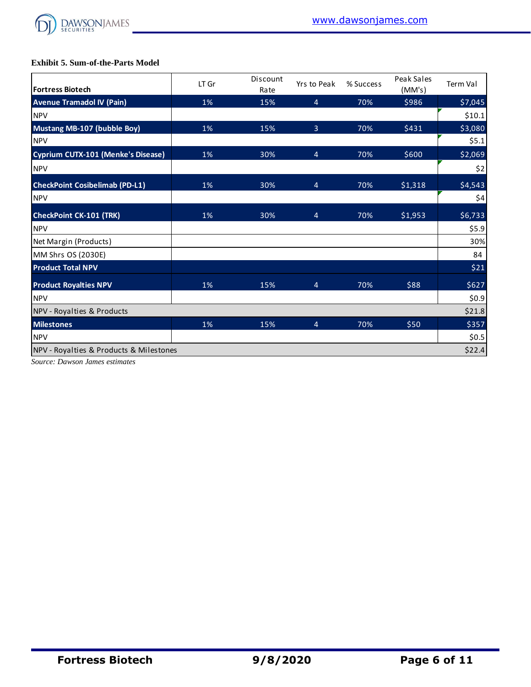

## **Exhibit 5. Sum-of-the-Parts Model**

| <b>Exhibit 5. Sum-of-the-Parts Model</b>  |       |                  |                |           |                      |          |
|-------------------------------------------|-------|------------------|----------------|-----------|----------------------|----------|
| <b>Fortress Biotech</b>                   | LT Gr | Discount<br>Rate | Yrs to Peak    | % Success | Peak Sales<br>(MM's) | Term Val |
| <b>Avenue Tramadol IV (Pain)</b>          | 1%    | 15%              | 4              | 70%       | \$986                | \$7,045  |
| <b>NPV</b>                                |       |                  |                |           |                      | \$10.1   |
| Mustang MB-107 (bubble Boy)               | 1%    | 15%              | $\overline{3}$ | 70%       | \$431                | \$3,080  |
| <b>NPV</b>                                |       |                  |                |           |                      | \$5.1    |
| <b>Cyprium CUTX-101 (Menke's Disease)</b> | 1%    | 30%              | 4              | 70%       | \$600                | \$2,069  |
| <b>NPV</b>                                |       |                  |                |           |                      | \$2      |
| <b>CheckPoint Cosibelimab (PD-L1)</b>     | 1%    | 30%              | 4              | 70%       | \$1,318              | \$4,543  |
| <b>NPV</b>                                |       |                  |                |           |                      | \$4      |
| <b>CheckPoint CK-101 (TRK)</b>            | 1%    | 30%              | 4              | 70%       | \$1,953              | \$6,733  |
| <b>NPV</b>                                |       |                  |                |           |                      | \$5.9    |
| Net Margin (Products)                     |       |                  |                |           |                      | 30%      |
| MM Shrs OS (2030E)                        |       |                  |                |           |                      | 84       |
| <b>Product Total NPV</b>                  |       |                  |                |           |                      | \$21     |
| <b>Product Royalties NPV</b>              | 1%    | 15%              | 4              | 70%       | \$88                 | \$627    |
| <b>NPV</b>                                |       |                  |                |           |                      | \$0.9    |
| NPV - Royalties & Products                |       |                  |                |           |                      | \$21.8   |
| <b>Milestones</b>                         | 1%    | 15%              | 4              | 70%       | \$50                 | \$357    |
| <b>NPV</b>                                |       |                  |                |           |                      | \$0.5    |
| NPV - Royalties & Products & Milestones   |       |                  |                |           |                      | \$22.4   |

*Source: Dawson James estimates*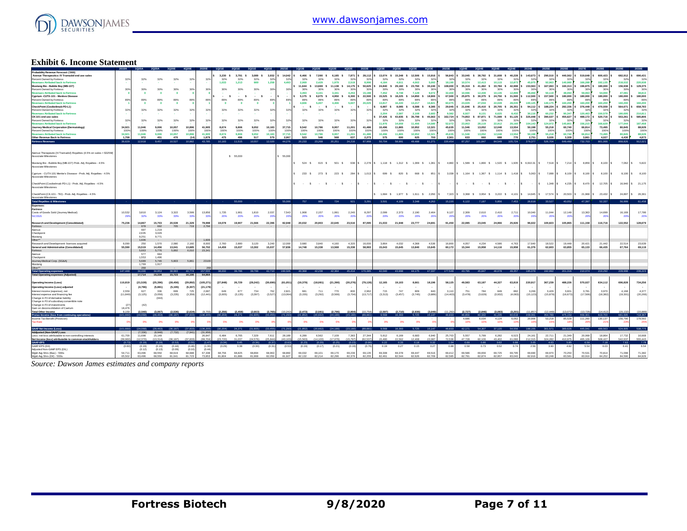

## **Exhibit 6. Income Statement**

| Probability Revenue Forecast: ('000)                                                    |                  |                  |                  |                     |                  |                  |                  |                  |                                                                                 |                  |                  |                  |                                             |                     |                  |                  |                     |                  |                                     |                  |                                                                                |                  |                               |                                      |                     |                    |                  |                                                                                                                                   |                  |                  |                  |                  |
|-----------------------------------------------------------------------------------------|------------------|------------------|------------------|---------------------|------------------|------------------|------------------|------------------|---------------------------------------------------------------------------------|------------------|------------------|------------------|---------------------------------------------|---------------------|------------------|------------------|---------------------|------------------|-------------------------------------|------------------|--------------------------------------------------------------------------------|------------------|-------------------------------|--------------------------------------|---------------------|--------------------|------------------|-----------------------------------------------------------------------------------------------------------------------------------|------------------|------------------|------------------|------------------|
| Avenue Therapeutics: IV Tramadol end use sales                                          |                  |                  |                  |                     |                  |                  | 3.230 S          |                  | 3,791 \$ 3,089 \$ 3,932 \$ 14,042                                               |                  |                  | 2 846.8          | 7.590 S                                     | 6.185 S             | 7.871 S          | 28.112           | 13.074 S            |                  | 15.348 \$ 12.506 \$ 15.916          |                  | 56.843                                                                         |                  |                               | 33.045 \$ 38.792 \$ 31.608 \$ 40.228 |                     | 143,673            | 290,510 S        | 440.562                                                                                                                           | \$ 519,648       | 600,423 S        | 682,912          | 690,431          |
| Percent Owned by Fortress                                                               | 32%              | 32%              | 32%              | 32%                 | 32%              | 32%              | 32%              | 32%              | 32%                                                                             | 32%              | 329              | 32%              | 32%                                         | 32%                 | 32%              | $32^{o}$         | 32%                 | 32%              | 32%                                 | 32%              | 329                                                                            | 32%              | 32%                           | 32%                                  | 329                 | $32^{o}$           | 32               | 329                                                                                                                               | 32               |                  |                  | 329              |
| wouse Atributed back to Fortress                                                        |                  |                  |                  |                     |                  |                  | 1.033            | 1.213            | 989                                                                             | 1.258            | 4,493            | 2.069            | 2.429                                       | 1.979               | 2.519            | 8.996            | 4.184               | 4.911            | 4.002                               | 5.093            | 18.19                                                                          | 10.574           | 12,413                        | 10.115                               | 12.873              | 45.975             | 92.96            | 140.986                                                                                                                           | 166.288          | 192.135          | 218.533          | 220,938          |
| Mustang Bio - Bubble Boy (MB-107)                                                       |                  |                  |                  |                     |                  |                  |                  |                  |                                                                                 |                  |                  | 11,644           | 13,669 S                                    | 11,138 \$           | 14,175 \$        | 50,625           | 24,840              | 29,160 \$        | 23,760 S                            | 30,240           | 108,000                                                                        | 35,319           | 41,462 \$                     | 33,784 S                             | 42,998              | 153,563            | 167,063          | 160,313                                                                                                                           | 196,875          | 180,000          | 156,938          | 129,375          |
| Percent Owned by Fortress                                                               | 309              | 30%              | 30%              | 30%                 | 303              | 30%              | 30%              | 30%              | 30%                                                                             | 30%              | 30%              | 30%              | 30%                                         | 30%                 | 30%              | 309              | 30%                 | 30%              | 30%                                 | 309              | 303                                                                            | 30%              | 30%                           | 30%                                  | 30%                 | 305                | 303              | 309                                                                                                                               | 30               | 30%              | 303              | 30%              |
| <b>Revenues Atributed back to Fortress</b>                                              |                  | $\bullet$        | $\bullet$        | $\mathbf{0}$        |                  |                  |                  |                  |                                                                                 |                  |                  | 3,493            | 4.101                                       | 3.341               | 4,253            | 15,188           | 7,452               | 8,748            | 7.128                               | 9.072            | 32,40                                                                          | 10,596           | 12,439                        | 10.135                               | 12.89               | 46.069             | 50.11            | 48.09                                                                                                                             | 59,063           | 54,000           | 47.08            | 38,813           |
| Cyprium -CUTX-101 - Menkes Disease                                                      |                  |                  |                  |                     |                  |                  | - s              | $\sim$           | $\sim$<br>- s                                                                   |                  |                  | 5,175 \$         | 6.075 \$                                    | 4.950 S             | 6,300            | 22,500           | 15,525 \$           | 18,225 \$        | 14,850                              | 18,900           | 67,500                                                                         | 25,875 \$        | 30,375 \$                     | 24,750 \$                            | 31,500              | 112,500            | 157,500          | 180,000                                                                                                                           | 180,000          | 180,000          | 180,000          | 180,000          |
| Percent Owned by Fortress                                                               | 89%              | 89%              | 89%              | 89%                 |                  |                  | 89%              | 89%              | 89%                                                                             | 89%              | 89%              | 89%              | 89%                                         | 89%                 | 899              | -89              | 89%                 | 89%              | 89%                                 | 899              | RQ                                                                             | 89%              | 89%                           | 89%                                  |                     | 89                 |                  | 899                                                                                                                               | 89               |                  |                  | 89%              |
| enues Atributed back to Fortress                                                        |                  | $\mathbf{0}$     | $\bullet$        | $\mathbf{0}$        |                  |                  |                  |                  |                                                                                 |                  |                  | 4,606            | 5,407                                       | 4,406               | 5,607            | 20,025           | 13,817              | 16,220           | 13,217                              | 16,821           | 60.075                                                                         | 23,029           | 27,034                        | 22,028                               | 28.035              | 100,125            | 140,175          | 160,200                                                                                                                           | 160,200          | 160,200          | 160,200          | 160,200          |
| CheckPoint (Cosibelimab PD-L1)                                                          |                  |                  |                  |                     |                  |                  |                  |                  |                                                                                 |                  |                  | s                | - 8                                         | $\sim$<br>- s       |                  |                  | 6.887 S             | 8.085 S          | 6,588 S                             | 8.385            | 29.945                                                                         |                  | 21.646 \$ 25.410 \$ 20.705 \$ |                                      | 26.351              | 94.112             | 188,224          | 282,336                                                                                                                           | 376,448          | 470,559 S        | 564.671          | 658,783          |
| Percent Owned by Fortress                                                               | 329              | 32%              | 32%              | 32%                 | 329              | 32%              | 32%              | 32%              | 32%                                                                             | 32%              | 329              | 32%              | 32%                                         | 32%                 | 32%              | $32^{o}$         | 32%                 | 32%              | 32%                                 | $32^{o}$         | 32'                                                                            | 32%              | 32%                           | 32%                                  | $32^{o}$            | 32                 | 32               |                                                                                                                                   | 32               | 325              |                  | 32%              |
| venues Atributed back to Fortress                                                       |                  |                  |                  |                     |                  |                  |                  |                  |                                                                                 |                  |                  |                  |                                             |                     |                  |                  | 2.204               | 2.587            | 2.108                               | 2.683            | 9.58                                                                           | 6.927            | 8.131                         | 6.625                                | 8.432               | 30.116             | 60.23            | 90.347                                                                                                                            | 120,463          | 150.579          | 180.695          | 210,811          |
| CK-101 end use sales                                                                    |                  |                  |                  |                     |                  |                  |                  |                  |                                                                                 |                  |                  |                  |                                             |                     |                  |                  | 37,426              | 43,935 \$        | 35,799 S                            | 45,563           | 162,724                                                                        | 74,853 \$        | 87.871 \$                     | 71,599 S                             | 91.125              | 325,448            | 390,537          | 455,627                                                                                                                           | 488,172          | 520.716 S        | 553,261          | 585,806          |
| Percent Owned by Fortress                                                               | 329              | 32%              | 32%              | 32%                 | 32%              | 32%              | 32%              | 32%              | 32%                                                                             | 32%              | 329              | 32%              | 32%                                         | 32%                 | 32%              | $32^{o}$         | 32%                 | 32%              | 32%                                 | 329              | 329                                                                            | 32%              | 32%                           | 32%                                  | 329                 | 329                | 32               | 329                                                                                                                               | 32 <sup>1</sup>  | 32%              | $32^{i}$         | 32%              |
| <b>Revenues Atributed back to Fortress</b>                                              |                  |                  |                  |                     |                  |                  |                  |                  |                                                                                 |                  |                  |                  |                                             |                     |                  |                  | 11.976              | 14,059           | 11,456                              | 14,580           | 52.07                                                                          | 23,953           | 28,119                        | 22,912                               | 29,160              | 104.143            | 124.97           | 145.80                                                                                                                            | 156,215          | 166,629          | 177.04           | 187,458          |
|                                                                                         |                  |                  |                  |                     |                  |                  |                  |                  |                                                                                 |                  |                  |                  |                                             |                     |                  |                  |                     |                  |                                     |                  |                                                                                |                  |                               |                                      |                     |                    |                  |                                                                                                                                   |                  |                  |                  |                  |
| Journey Medical Corporation (Dermatology)                                               | 34,921           | 11,946           | 9,006            | 10,057              | 10,896           | 41,905           | 8.674            | 9,806            | 9.052                                                                           | 10,183           | 37,715           | 9.542            | 10,786                                      | 9.957               | 11,201           | 41,486           | 10,496              | 11,865           | 10.952                              | 12,321           | 45,635                                                                         | 11,546           | 13.052                        | 12,048                               | 13,554              | 50,198             | 55,218           | 60,740                                                                                                                            | 66,814           | 73,495           | 80,845           | 88,929           |
| Percent Owned by Fortress                                                               | 100              | 100%             | 100%             | 100%                | 100              | 100              | 100%             | 100%             | 100%                                                                            | 100%             | 100%             | 100%             | 100%                                        | 100%                | 100%             | 1009             | 100%                | 100%             | 100%                                | 100%             | 100%                                                                           | 100%             | 100%                          | 100%                                 | 100%                | 1009               | 100%             | 1009                                                                                                                              | 100              | 100%             | 100              | 100%             |
| venues Atributed back to Fortress                                                       | 34.921           | 11,946           | 9,006            | 10.057              | 10,896           | 41,905           | 8.674            | 9,806            | 9.052                                                                           | 10,183           | 37,715           | 9.542            | 10,786                                      | 9,957               | 11,201           | 41,486           | 10,496              | 11,865           | 10.952                              | 12,321           | 45.635                                                                         | 11,546           | 13,052                        | 12,048                               | 13,554              | 50,198             | 55.218           | 60,740                                                                                                                            | 66,814           | 73,495           | 80,845           | 88,929           |
| Other Revenue Back to Fortress                                                          | 1.708            | 972              | 451              | 470                 | (1A)             | 1.879            | 475              | 496              | 517                                                                             | 579              | 2.067            | 523              | 546                                         | 568                 | 637              | 2.273            | 575                 | 600              | 625                                 | 700              | 2,501                                                                          | 633              | 660                           | <b>688</b>                           | 770                 | 2.751              | 3.026            | 3.328                                                                                                                             | 3.661            | 4.027            | 4,430            | 4,873            |
| Fortress Revenues                                                                       | 36.629           | 12.918           | 9.457            | 10,527              | 10.882           | 43,785           | 10.183           | 11,515           | 10.557                                                                          | 12,020           | 44,276           | 20,233           | 23,268                                      | 20,251              | 24,216           | 87.968           | 50,704              | 58,991           | 49,488                              | 61,271           | 220,454                                                                        | 87,257 101,847   |                               | 84,549 105,724                       |                     | 379,377            | 526.704          | 649.490                                                                                                                           | 732,703          | 801.066          | 868.826          | 912,021          |
|                                                                                         |                  |                  |                  |                     |                  |                  |                  |                  |                                                                                 |                  |                  |                  |                                             |                     |                  |                  |                     |                  |                                     |                  |                                                                                |                  |                               |                                      |                     |                    |                  |                                                                                                                                   |                  |                  |                  |                  |
|                                                                                         |                  |                  |                  |                     |                  |                  |                  |                  |                                                                                 |                  |                  |                  |                                             |                     |                  |                  |                     |                  |                                     |                  |                                                                                |                  |                               |                                      |                     |                    |                  |                                                                                                                                   |                  |                  |                  |                  |
|                                                                                         |                  |                  |                  |                     |                  |                  |                  |                  |                                                                                 |                  |                  |                  |                                             |                     |                  |                  |                     |                  |                                     |                  |                                                                                |                  |                               |                                      |                     |                    |                  |                                                                                                                                   |                  |                  |                  |                  |
| Nenue Therapeutic (IV Tramadol) Royalties (4.5% on sales > \$325M)                      |                  |                  |                  |                     |                  |                  |                  |                  |                                                                                 |                  |                  |                  |                                             |                     |                  |                  |                     |                  |                                     |                  |                                                                                |                  |                               |                                      |                     |                    |                  |                                                                                                                                   |                  |                  |                  |                  |
| Associate Milestones                                                                    |                  |                  |                  |                     |                  |                  |                  | \$ 55,000        |                                                                                 |                  | \$5,000          |                  |                                             |                     |                  |                  |                     |                  |                                     |                  |                                                                                |                  |                               |                                      |                     |                    |                  |                                                                                                                                   |                  |                  |                  |                  |
|                                                                                         |                  |                  |                  |                     |                  |                  |                  |                  |                                                                                 |                  |                  |                  |                                             |                     |                  |                  |                     |                  |                                     |                  |                                                                                |                  |                               |                                      |                     |                    |                  |                                                                                                                                   |                  |                  |                  |                  |
| Mustang Bio - Bubble Boy (MB-107) Prob. Adj. Royalties - 4.5%                           |                  |                  |                  |                     |                  |                  |                  |                  |                                                                                 |                  |                  |                  | 524 S 615 S 501 S                           |                     |                  |                  |                     |                  |                                     |                  |                                                                                |                  |                               |                                      |                     |                    |                  | 638 \$2.278 \$1,118 \$1,312 \$1,069 \$1,361 \$4,860 \$1,589 \$1,866 \$1,520 \$1,935 \$6,910.31 \$7,518 \$7,214 \$8,859 \$8,100 \$ |                  |                  |                  | 7,062 \$ 5,822   |
| <b>Associate Milestones</b>                                                             |                  |                  |                  |                     |                  |                  |                  |                  |                                                                                 |                  |                  |                  |                                             |                     |                  |                  |                     |                  |                                     |                  |                                                                                |                  |                               |                                      |                     |                    |                  |                                                                                                                                   |                  |                  |                  |                  |
|                                                                                         |                  |                  |                  |                     |                  |                  |                  |                  |                                                                                 |                  |                  |                  |                                             |                     |                  |                  |                     |                  |                                     |                  |                                                                                |                  |                               |                                      |                     |                    |                  |                                                                                                                                   |                  |                  |                  |                  |
| Cvorium - CUTX-101 Menke's Disease - Prob. Adi. Royalties - 4.5%                        |                  |                  |                  |                     |                  |                  |                  |                  |                                                                                 |                  |                  |                  | 233 \$273 \$223 \$284 \$1,013 \$            |                     |                  |                  |                     | 699 S 820 S      |                                     |                  |                                                                                |                  |                               |                                      |                     |                    |                  | 668 \$ 851 \$ 3,038 \$ 1,164 \$ 1,367 \$ 1,114 \$ 1,418 \$ 5,063 \$ 7,088 \$ 8,100 \$ 8,100 \$ 8,100 \$                           |                  |                  |                  | 8,100 \$ 8,100   |
| Associate Milestones                                                                    |                  |                  |                  |                     |                  |                  |                  |                  |                                                                                 |                  |                  |                  |                                             |                     |                  |                  |                     |                  |                                     |                  |                                                                                |                  |                               |                                      |                     |                    |                  |                                                                                                                                   |                  |                  |                  |                  |
|                                                                                         |                  |                  |                  |                     |                  |                  |                  |                  |                                                                                 |                  |                  |                  |                                             |                     |                  |                  |                     |                  |                                     |                  |                                                                                |                  |                               |                                      |                     |                    |                  |                                                                                                                                   |                  |                  |                  |                  |
| CheckPoint (Cosibelmab PD-L1) - Prob. Adj. Royalties - 4.5%                             |                  |                  |                  |                     |                  |                  |                  |                  |                                                                                 |                  |                  |                  | $\cdot$ s                                   | $\cdots$ s $\cdots$ | $\mathsf{S}$     |                  | $\cdot$ s           | $\cdot$ s        | $-5$                                |                  | $\sim$                                                                         | $\cdot$ s        | $\cdot$ s                     |                                      | $\cdot$ s $\cdot$ s | $\cdot$ IS         | 1,348 \$         | 4,235                                                                                                                             | 8.470            | $S = 12.705$ S   |                  | 16,940 \$21,175  |
|                                                                                         |                  |                  |                  |                     |                  |                  |                  |                  |                                                                                 |                  |                  | $\cdot$ s        |                                             |                     |                  | $\sim$           |                     |                  |                                     |                  |                                                                                |                  |                               |                                      |                     |                    |                  |                                                                                                                                   |                  |                  |                  |                  |
| Associate Milestones                                                                    |                  |                  |                  |                     |                  |                  |                  |                  |                                                                                 |                  |                  |                  |                                             |                     |                  |                  |                     |                  |                                     |                  |                                                                                |                  |                               |                                      |                     |                    |                  |                                                                                                                                   |                  |                  |                  |                  |
|                                                                                         |                  |                  |                  |                     |                  |                  |                  |                  |                                                                                 |                  |                  |                  |                                             |                     |                  |                  |                     |                  |                                     |                  |                                                                                |                  |                               |                                      |                     |                    |                  |                                                                                                                                   |                  |                  |                  |                  |
| CheckPoint (CK-101 - TKI) - Prob. Adj. Royalties - 4.5%                                 |                  |                  |                  |                     |                  |                  |                  |                  |                                                                                 |                  |                  |                  |                                             |                     |                  |                  |                     |                  | 1,684 \$ 1,977 \$ 1,611 \$ 2,050 \$ |                  |                                                                                |                  |                               |                                      |                     |                    |                  | 7,323 \$ 3,368 \$ 3,954 \$ 3,222 \$ 4,101 \$ 14,645 \$ 17,574 \$ 20,503 \$ 21,968                                                 |                  | 23,432 \$        | 24,897<br>s      | 26,361           |
| Associate Milestones                                                                    |                  |                  |                  |                     |                  |                  |                  |                  |                                                                                 |                  |                  |                  |                                             |                     |                  |                  |                     |                  |                                     |                  |                                                                                |                  |                               |                                      |                     |                    |                  |                                                                                                                                   |                  |                  |                  |                  |
| <b>Total Royalties &amp; Milestones</b>                                                 |                  |                  |                  |                     |                  |                  |                  | 55,000           |                                                                                 |                  | 65,000           | 767              | <b>RRR</b>                                  | 724                 | 921 3,291        |                  | 3.501               | 4.109            | 3,348 4,262                         |                  | 15,220                                                                         | 6,122            | 7 187                         |                                      |                     | 5,856 7,453 26,618 | 33.527           |                                                                                                                                   | 40,052 47,397    | 52.337           | 56,999           | 61,458           |
| Expenses:                                                                               |                  |                  |                  |                     |                  |                  |                  |                  |                                                                                 |                  |                  |                  |                                             |                     |                  |                  |                     |                  |                                     |                  |                                                                                |                  |                               |                                      |                     |                    |                  |                                                                                                                                   |                  |                  |                  |                  |
|                                                                                         |                  |                  |                  |                     |                  |                  |                  |                  |                                                                                 |                  |                  |                  |                                             |                     |                  |                  |                     |                  |                                     |                  |                                                                                |                  |                               |                                      |                     |                    |                  |                                                                                                                                   |                  |                  |                  |                  |
| <b>Fortress</b>                                                                         |                  |                  |                  |                     |                  |                  |                  |                  |                                                                                 |                  |                  |                  |                                             |                     |                  |                  |                     |                  |                                     |                  |                                                                                |                  |                               |                                      |                     |                    |                  |                                                                                                                                   |                  |                  |                  |                  |
| Costs of Goods Sold (Journey Medical)                                                   | 10.532           | 3,810            | 3.124            | 3.322               | 3.599            | 13,856           | 1.735            | 1.961            | 1.810                                                                           | 2.037            | 7.543            | 1,908            | 2.157                                       | 1.991               | 2.240            | 8.297            | 2.099               | 2.373            | 2.190                               | 2.464            | 9.127                                                                          | 2.309            | 2.610                         | 2,410                                | 2.711               | 10,040             | 11.044           | 12.148                                                                                                                            | 13,363           | 14,699           | 16.169           | 17,786           |
| <b>SCOGS</b>                                                                            | 29               | 32%              | 33%              | 33%                 | 33               | $-33$            | 20%              | 20%              | 20%                                                                             | 20%              | 20'              | 20%              | 20%                                         | 20%                 | -20              | -20              | 20%                 | 20%              | 20%                                 | -20              | -20                                                                            | 20%              | 20%                           | 20%                                  | -20                 | 20                 |                  |                                                                                                                                   | 20               |                  |                  | 20'              |
|                                                                                         |                  |                  |                  |                     |                  |                  |                  |                  |                                                                                 |                  |                  |                  |                                             |                     |                  |                  |                     |                  |                                     |                  |                                                                                |                  |                               |                                      |                     |                    |                  |                                                                                                                                   |                  |                  |                  |                  |
| Research and Development (Consolidated)                                                 | 75,236           | 14.867           | 15,703           | 20,539              | 21.329           | 78,998           | 19,078           | 19,907           | 21,566                                                                          | 22,396           | 82,948           | 20,032           | 20,903                                      | 22,645              | 23,516           | 87,095           | 21,033              | 21,948           | 23,777                              | 24,691           | 91,450                                                                         | 22,085           | 23,045                        | 24,966                               | 25,926              | 96,022             | 100,823          | 105,865                                                                                                                           | 111,158          | 116,716          | 122,552          | 128,679          |
|                                                                                         |                  |                  |                  |                     |                  |                  |                  |                  |                                                                                 |                  |                  |                  |                                             |                     |                  |                  |                     |                  |                                     |                  |                                                                                |                  |                               |                                      |                     |                    |                  |                                                                                                                                   |                  |                  |                  |                  |
| Fortress                                                                                |                  | 678              | 692              |                     | 719              |                  |                  |                  |                                                                                 |                  |                  |                  |                                             |                     |                  |                  |                     |                  |                                     |                  |                                                                                |                  |                               |                                      |                     |                    |                  |                                                                                                                                   |                  |                  |                  |                  |
|                                                                                         |                  | 697              |                  | 705                 |                  | 2,794            |                  |                  |                                                                                 |                  |                  |                  |                                             |                     |                  |                  |                     |                  |                                     |                  |                                                                                |                  |                               |                                      |                     |                    |                  |                                                                                                                                   |                  |                  |                  |                  |
| Avenue                                                                                  |                  |                  | 1.219            |                     |                  |                  |                  |                  |                                                                                 |                  |                  |                  |                                             |                     |                  |                  |                     |                  |                                     |                  |                                                                                |                  |                               |                                      |                     |                    |                  |                                                                                                                                   |                  |                  |                  |                  |
| Checkpoint                                                                              |                  | 2.635            | 3.029            |                     |                  |                  |                  |                  |                                                                                 |                  |                  |                  |                                             |                     |                  |                  |                     |                  |                                     |                  |                                                                                |                  |                               |                                      |                     |                    |                  |                                                                                                                                   |                  |                  |                  |                  |
| Mustang                                                                                 |                  | 9.251            | 9771             |                     |                  |                  |                  |                  |                                                                                 |                  |                  |                  |                                             |                     |                  |                  |                     |                  |                                     |                  |                                                                                |                  |                               |                                      |                     |                    |                  |                                                                                                                                   |                  |                  |                  |                  |
| Other**                                                                                 |                  | 1.606            |                  |                     |                  | 1.608            |                  |                  |                                                                                 |                  |                  |                  |                                             |                     |                  |                  |                     |                  |                                     |                  |                                                                                |                  |                               |                                      |                     |                    |                  |                                                                                                                                   |                  |                  |                  |                  |
| Research and Development-licenses acquired                                              | 6.090            | 250              | 1.570            | 2,080               | 2.160            | 8,000            | 2.760            | 2,880            | 3.120                                                                           | 3.240            | 12,000           | 3.680            | 3,840                                       | 4.160               | 4.320            | 16,000           | 3.864               | 4.032            | 4.368                               | 4.536            | 16,800                                                                         | 4.057            | 4.234                         | 4,586                                | 4.763               | 17 640             | 18.52            | 19,448                                                                                                                            | 20.421           | 21 442           | 22.51            | 23,639           |
| General and Administrative (Consolidated)                                               | 55,590           | 15,519           | 14,456           | 13,041              | 13,685           | 56,702           | 14,459           | 15,037           | 13,302                                                                          | 15,037           | 57,836           | 14,748           | 15,338                                      | 13,568              | 15,338           | 58,993           | 15.043              | 15,645           | 13,840                              | 15,645           | 60,172                                                                         | 15,344           | 15,958                        | 14.116                               | 15,958              | 61.376             | 62,603           | 63,855                                                                                                                            | 65.133           | 66,435           | 67.76            | 69,119           |
| Fortress                                                                                |                  | 5.663            | 5.776            | 5.892               | 6,010            | 23.341           |                  |                  |                                                                                 |                  |                  |                  |                                             |                     |                  |                  |                     |                  |                                     |                  |                                                                                |                  |                               |                                      |                     |                    |                  |                                                                                                                                   |                  |                  |                  |                  |
| wenue                                                                                   |                  | 577              | 684              |                     |                  |                  |                  |                  |                                                                                 |                  |                  |                  |                                             |                     |                  |                  |                     |                  |                                     |                  |                                                                                |                  |                               |                                      |                     |                    |                  |                                                                                                                                   |                  |                  |                  |                  |
| Checkpoint                                                                              |                  | 1.553            | 1,496            |                     |                  |                  |                  |                  |                                                                                 |                  |                  |                  |                                             |                     |                  |                  |                     |                  |                                     |                  |                                                                                |                  |                               |                                      |                     |                    |                  |                                                                                                                                   |                  |                  |                  |                  |
| Journey Medical Corp. (SG&A)                                                            |                  | 5,689            | <b>5.746</b>     | 5,803               | 5,861            | 23100            |                  |                  |                                                                                 |                  |                  |                  |                                             |                     |                  |                  |                     |                  |                                     |                  |                                                                                |                  |                               |                                      |                     |                    |                  |                                                                                                                                   |                  |                  |                  |                  |
| Mustang                                                                                 |                  | 1.769            | 1.917            |                     |                  |                  |                  |                  |                                                                                 |                  |                  |                  |                                             |                     |                  |                  |                     |                  |                                     |                  |                                                                                |                  |                               |                                      |                     |                    |                  |                                                                                                                                   |                  |                  |                  |                  |
| Other**                                                                                 |                  | 268              |                  |                     |                  |                  |                  |                  |                                                                                 |                  |                  |                  |                                             |                     |                  |                  |                     |                  |                                     |                  |                                                                                |                  |                               |                                      |                     |                    |                  |                                                                                                                                   |                  |                  |                  |                  |
|                                                                                         | 147,448          | 34.448           | 34.853           | 38.983              |                  | 40,774 157,555   |                  |                  | 38,032 39,786 39,799 42,710 160,326                                             |                  |                  |                  |                                             |                     |                  |                  |                     |                  |                                     |                  | 40,368 42,238 42,364 45,414 170,385 42,040 43,998 44,175 47,337 177,549 43,795 |                  | 45847                         |                                      |                     |                    |                  | 46,078 49,357 185,078 192,992 201,316 210,074                                                                                     |                  | 219,292          | 228,998          | 239,22           |
| <b>Total Operating expenses</b>                                                         |                  | 17,714           | 15,338           |                     |                  | 64,964           |                  |                  |                                                                                 |                  |                  |                  |                                             |                     |                  |                  |                     |                  |                                     |                  |                                                                                |                  |                               |                                      |                     |                    |                  |                                                                                                                                   |                  |                  |                  |                  |
| <b>Total Operating expenses (Adjusted)</b>                                              |                  |                  |                  | 15,723              | 16,190           |                  |                  |                  |                                                                                 |                  |                  |                  |                                             |                     |                  |                  |                     |                  |                                     |                  |                                                                                |                  |                               |                                      |                     |                    |                  |                                                                                                                                   |                  |                  |                  |                  |
|                                                                                         |                  |                  |                  |                     |                  |                  |                  |                  |                                                                                 |                  |                  |                  |                                             |                     |                  |                  |                     |                  |                                     |                  |                                                                                |                  |                               |                                      |                     |                    |                  |                                                                                                                                   |                  |                  |                  |                  |
| <b>Operating Income (Loss)</b>                                                          | 110,819          | (21, 528)        | (25.396)         | (28.456)            | (29.892)         | (105, 271)       | (27, 848)        | 26,729           | (29.242)                                                                        | (30, 690)        | (61,051)         | (19, 379)        | (18.081)                                    | (21, 390)           | (20.276)         | (79,126          | 12,165              | 19,103           | 8,661                               | 18,196           | 58,125                                                                         | 49,583           | 63,187                        | 44.327                               | 63,819              | 220,917            | 367,239          | 488,226                                                                                                                           | 570,027          | 634,112          | 696,828          | 734,256          |
| Operating Income (Loss) adjusted                                                        |                  | (4,796)          | (5.881)          | (5, 195)            | (5, 307)         | (21, 179)        |                  |                  |                                                                                 |                  |                  |                  |                                             |                     |                  |                  |                     |                  |                                     |                  |                                                                                |                  |                               |                                      |                     |                    |                  |                                                                                                                                   |                  |                  |                  |                  |
| nterest income (expense), net                                                           | 2.559            | 627              | 336              | 699                 | 725              | 2.687            | 649              | 677              | 734                                                                             | 762              | 2.821            | 681              | 711                                         | 770                 | 800              |                  | 715                 | 747              | 809                                 | 840              | 3.110                                                                          | 751              | 784                           | 849                                  | 882                 | 3.266              | 3.429            | 3.601                                                                                                                             | 3.781            | 3.970            | 4.168            | 4.377            |
|                                                                                         |                  |                  |                  |                     |                  |                  |                  |                  |                                                                                 |                  |                  |                  |                                             |                     |                  | 2,962            |                     |                  |                                     |                  |                                                                                |                  |                               |                                      |                     |                    |                  |                                                                                                                                   |                  |                  |                  |                  |
| nterest expense and financing fee                                                       | (11, 849)        | (3, 125)         | (3,059)          | (3,235)             | (3,359)          | (12, 441)        | (3,005)          | (3, 135)         | (3, 397)                                                                        | (3,527)          | (13,064)         | (3, 155)         | (3,292)                                     | (3, 566)            | (3,704)          | (13,717)         | (3,313)             | (3,457)          | (3,745)                             | (3,889)          | (14, 403)                                                                      | (3,478)          | (3,629)                       | (3,932)                              | (4,083)             | (15, 123)          | (15, 879)        | (16, 673)                                                                                                                         | (17, 506)        | (18, 382)        | (19, 301)        | (20, 266)        |
| Change in FV of derivative liability                                                    |                  |                  | (344)            |                     |                  |                  |                  |                  |                                                                                 |                  |                  |                  |                                             |                     |                  |                  |                     |                  |                                     |                  |                                                                                |                  |                               |                                      |                     |                    |                  |                                                                                                                                   |                  |                  |                  |                  |
| Change in FV of subsidiary convertible note                                             |                  |                  |                  |                     |                  |                  |                  |                  |                                                                                 |                  |                  |                  |                                             |                     |                  |                  |                     |                  |                                     |                  |                                                                                |                  |                               |                                      |                     |                    |                  |                                                                                                                                   |                  |                  |                  |                  |
| Change in FV of investments                                                             | 127              | (42)             |                  |                     |                  |                  |                  |                  |                                                                                 |                  |                  |                  |                                             |                     |                  |                  |                     |                  |                                     |                  |                                                                                |                  |                               |                                      |                     |                    |                  |                                                                                                                                   |                  |                  |                  |                  |
| Gain on deconsolidation of Caelum                                                       | 18,476           |                  |                  |                     |                  |                  |                  |                  |                                                                                 |                  |                  |                  |                                             |                     |                  |                  |                     |                  |                                     |                  |                                                                                |                  |                               |                                      |                     |                    |                  |                                                                                                                                   |                  |                  |                  |                  |
|                                                                                         | 9.159            | (2.540)          | (3.067)          | (2.536)             | (2.634)          | (9.755)          |                  |                  | $(2,356)$ $(2,458)$ $(2,663)$ $(2,765)$                                         |                  | (10, 242)        |                  | $(2,473)$ $(2,581)$ $(2,796)$               |                     | (2,904)          | (10.754)         | $(2,597)$ $(2,710)$ |                  | (2,936)                             | (3.049)          | (11,292)                                                                       | (2,727)          | (2.846)                       | (3.083)                              | (3.201)             | (11.857)           | (12.449)         | (13.072)                                                                                                                          | (13.726)         | (14.412)         | (15, 132)        | (15.889)         |
|                                                                                         | 101.660          |                  |                  |                     |                  |                  |                  |                  | (24,068) (28,463) (36,187) (37,833) (136,205) (30,204) 24,271 (31,905) (33,455) |                  | (71, 293)        |                  | $(21,852)$ $(20,662)$ $(24,186)$ $(23,180)$ |                     |                  | (89, 881)        | 9.568               | 16,393           | 5,725                               | 15.147           | 46,833                                                                         | 46.856           | 60,342                        | 41,245                               | 60,618              | 209,061            | 354,789          | 475.154                                                                                                                           | 556,301          | 619,700          | 681,695          | 718.367          |
| Total Other Income<br>Pretax Income (loss from contin<br>Income Tax Benefit (Provision) |                  |                  |                  |                     |                  |                  |                  |                  |                                                                                 |                  |                  |                  |                                             |                     |                  |                  |                     |                  |                                     |                  |                                                                                | 4,686            | 6.034                         | 4,124                                | 6,062               | 20,906             | 53,218           | 85,528                                                                                                                            | 111,260          | 130,137          | 156,790          | 179,592          |
| Tax Rate                                                                                |                  | 0%               | 0%               | 0%                  |                  |                  | 0%               | 0%               | - 0%                                                                            |                  |                  | 0%               | 0%                                          |                     |                  |                  |                     | 0%               | 0%                                  |                  |                                                                                | 10%              | 10%                           | 10%                                  |                     |                    |                  |                                                                                                                                   |                  |                  | -23              |                  |
|                                                                                         |                  |                  |                  |                     |                  |                  |                  |                  |                                                                                 |                  |                  |                  |                                             |                     |                  |                  |                     |                  |                                     |                  |                                                                                |                  |                               |                                      |                     |                    |                  |                                                                                                                                   |                  |                  |                  |                  |
|                                                                                         | (101.660         | ኃላ ሰድፀነ          | 128 483)         | (36.187)            | -197.899         | 11.28.7          | (30.204)         | 24.271           | (31.905)                                                                        | (33.455          | (71.29)          | (21.852)         | (20.662)                                    | (24 186)            | (23.180)         | (89 881)         | 9588                | 16.393           | 6.726                               | 15.147           | 46.833                                                                         | 42.171           | 54.307                        | 37.120                               | 54.556              | 188.155            | 301.571          | 389.626                                                                                                                           | 445.041          | 489.563          | 524,905          | 538.775          |
| <b>GAAP Net Income (Loss)</b>                                                           |                  | (7.336)          | (8.948)          | $(7.732)$ $(7.941)$ |                  | (31.95)          |                  |                  |                                                                                 |                  |                  |                  |                                             |                     |                  |                  |                     |                  |                                     |                  |                                                                                |                  |                               |                                      |                     |                    |                  |                                                                                                                                   |                  |                  |                  |                  |
| Addjusted (Non-GAAP) Loss                                                               |                  |                  |                  |                     |                  |                  |                  |                  |                                                                                 |                  |                  |                  |                                             |                     |                  |                  |                     |                  |                                     |                  |                                                                                |                  |                               |                                      |                     |                    |                  |                                                                                                                                   |                  |                  |                  |                  |
| Less: net loss attributable to non-controlling interests                                | 61,700           | <b>11698</b>     | 15 149           |                     |                  | 26.847           | 6.484            | 6.765            | 7.329                                                                           | 7611             | 28,189           | 6.289            | 6.562                                       | 7 109               | 7.383            | 27.344           | 5.912               | 6.169            | 6.683                               | 6940             | 25,703                                                                         | 5.557            | 5.799                         | 6.282                                | 6.523               | 24.161             | 22.71            | 21.349                                                                                                                            | 20.068           | <b>18864</b>     | 17.732           | 16,668           |
| Net Income (loss) attributable to common stockholders                                   | (39.980)         | (12.370)         | (13.314)         | (36.187)            | (37.833)         | (99.704)         | (23, 720)        | 31.037           | (24, 576)                                                                       | (25.844)         | (43, 103)        | (15.583)         | (14, 100)                                   | (17,076)            | (15,797)         | (62.537)         | 15,480              | 22,562           | 12,408                              | 22.087           | 72.536                                                                         | 47,728           | 60.106                        | 43,402                               | 61.080              | 212,315            | 324 282          | 410.975                                                                                                                           | 465,109          | <b>508 427</b>   | 542,637          | 555,443          |
| GAAP-EPS                                                                                | 10.73            | (0.19)           | (0.19)           | (0.53)              | (0.6)            | (1.47)           | (0.34)           | 0.45             | (0.36)                                                                          | (0.37)           | (0.6)            | (0.23)           | (0.20)                                      | (0.25               | (0.23)           | 0.96             |                     | 0.33             | 0.18                                | 0.33             | 10 <sub>0</sub>                                                                |                  | 0.86                          | 0.62                                 | 0.88                | 3.05               | 46               | 6.8                                                                                                                               | 6.59             | 7.18             | 763              | 7.78             |
| GAAP-EPS (Di                                                                            | (0.60)           |                  |                  | (0.44)              | (0.46)           |                  | (0.29)           | 0.36             | (0.30)                                                                          | (0.31)           | (0.6)            | (0.19)           | (0.17)                                      | (0.21)              | (0.19)           | (0.7)            | 0.19                | 0.27             | 0.15                                | 0.27             | 0.81                                                                           | 0.58             | 0.73                          | 0.52                                 | 0.74                | 2.56               | 3.9              | 4.92                                                                                                                              | 5.54             | 6.03             | 6.4'             | 6.54             |
| Adiusted Non-GAAP EPS (DIL)                                                             |                  | (0.12)           | (0.13)           | (0.09)              | (0.10)           | (0.44)           |                  |                  |                                                                                 |                  |                  |                  |                                             |                     |                  |                  |                     |                  |                                     |                  |                                                                                |                  |                               |                                      |                     |                    |                  |                                                                                                                                   |                  |                  |                  |                  |
| Wgtd Avg Shrs (Bas) - '000s<br>Watd Ava Shrs (Dil) - '000s                              | 54.711<br>65,502 | 63,496<br>63,496 | 68,550<br>68,550 | 68,619<br>81.641    | 68,688<br>81.723 | 67,338<br>73.853 | 68,756<br>81.804 | 68,825<br>81,886 | 68,894<br>81.968                                                                | 68,963<br>82,050 | 68,860<br>81.927 | 69.032<br>82.132 | 69.101<br>82.214                            | 69.170<br>82.296    | 69,239<br>82.379 | 69.135<br>82.255 | 69,308<br>82,461    | 69.378<br>82.544 | 69,447<br>82.626                    | 69.516<br>82,709 | 69,412<br>82.585                                                               | 69,586<br>82.791 | 69.656<br>82.874              | 69,725<br>82,957                     | 69,795<br>83,040    | 69,690<br>82.916   | 69.970<br>83.248 | 70,250<br>83.581                                                                                                                  | 70,531<br>83,916 | 70.814<br>84.252 | 71,098<br>84.590 | 71,382<br>84.929 |

*Source: Dawson James estimates and company reports*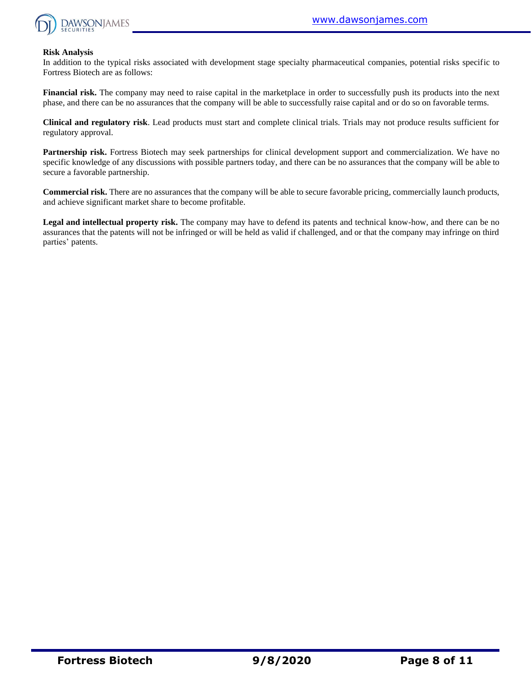

#### **Risk Analysis**

In addition to the typical risks associated with development stage specialty pharmaceutical companies, potential risks specific to Fortress Biotech are as follows:

**Financial risk.** The company may need to raise capital in the marketplace in order to successfully push its products into the next phase, and there can be no assurances that the company will be able to successfully raise capital and or do so on favorable terms.

**Clinical and regulatory risk**. Lead products must start and complete clinical trials. Trials may not produce results sufficient for regulatory approval.

**Partnership risk.** Fortress Biotech may seek partnerships for clinical development support and commercialization. We have no specific knowledge of any discussions with possible partners today, and there can be no assurances that the company will be able to secure a favorable partnership.

**Commercial risk.** There are no assurances that the company will be able to secure favorable pricing, commercially launch products, and achieve significant market share to become profitable.

**Legal and intellectual property risk.** The company may have to defend its patents and technical know-how, and there can be no assurances that the patents will not be infringed or will be held as valid if challenged, and or that the company may infringe on third parties' patents.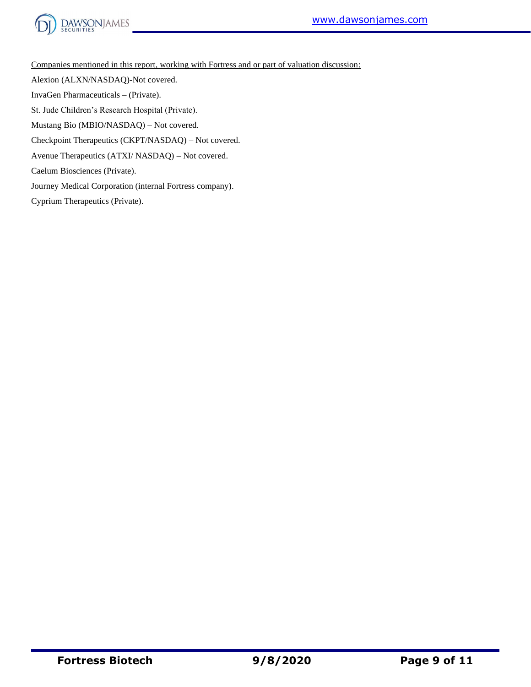



Companies mentioned in this report, working with Fortress and or part of valuation discussion:

Alexion (ALXN/NASDAQ)-Not covered.

InvaGen Pharmaceuticals – (Private).

St. Jude Children's Research Hospital (Private).

Mustang Bio (MBIO/NASDAQ) – Not covered.

Checkpoint Therapeutics (CKPT/NASDAQ) – Not covered.

Avenue Therapeutics (ATXI/ NASDAQ) – Not covered.

Caelum Biosciences (Private).

Journey Medical Corporation (internal Fortress company).

Cyprium Therapeutics (Private).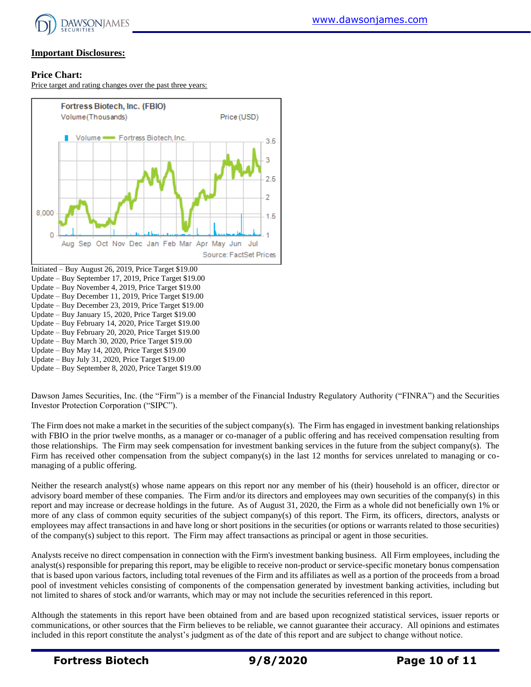

## **Important Disclosures:**

#### **Price Chart:**

Price target and rating changes over the past three years:



Update – Buy December 11, 2019, Price Target \$19.00

Update – Buy December 23, 2019, Price Target \$19.00

Update – Buy January 15, 2020, Price Target \$19.00

Update – Buy February 14, 2020, Price Target \$19.00

Update – Buy February 20, 2020, Price Target \$19.00

Update – Buy March 30, 2020, Price Target \$19.00

Update – Buy May 14, 2020, Price Target \$19.00

Update – Buy July 31, 2020, Price Target \$19.00

Update – Buy September 8, 2020, Price Target \$19.00

Dawson James Securities, Inc. (the "Firm") is a member of the Financial Industry Regulatory Authority ("FINRA") and the Securities Investor Protection Corporation ("SIPC").

The Firm does not make a market in the securities of the subject company(s). The Firm has engaged in investment banking relationships with FBIO in the prior twelve months, as a manager or co-manager of a public offering and has received compensation resulting from those relationships. The Firm may seek compensation for investment banking services in the future from the subject company(s). The Firm has received other compensation from the subject company(s) in the last 12 months for services unrelated to managing or comanaging of a public offering.

Neither the research analyst(s) whose name appears on this report nor any member of his (their) household is an officer, director or advisory board member of these companies. The Firm and/or its directors and employees may own securities of the company(s) in this report and may increase or decrease holdings in the future. As of August 31, 2020, the Firm as a whole did not beneficially own 1% or more of any class of common equity securities of the subject company(s) of this report. The Firm, its officers, directors, analysts or employees may affect transactions in and have long or short positions in the securities (or options or warrants related to those securities) of the company(s) subject to this report. The Firm may affect transactions as principal or agent in those securities.

Analysts receive no direct compensation in connection with the Firm's investment banking business. All Firm employees, including the analyst(s) responsible for preparing this report, may be eligible to receive non-product or service-specific monetary bonus compensation that is based upon various factors, including total revenues of the Firm and its affiliates as well as a portion of the proceeds from a broad pool of investment vehicles consisting of components of the compensation generated by investment banking activities, including but not limited to shares of stock and/or warrants, which may or may not include the securities referenced in this report.

Although the statements in this report have been obtained from and are based upon recognized statistical services, issuer reports or communications, or other sources that the Firm believes to be reliable, we cannot guarantee their accuracy. All opinions and estimates included in this report constitute the analyst's judgment as of the date of this report and are subject to change without notice.